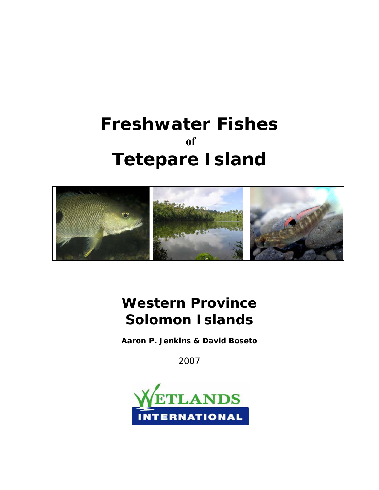# **Freshwater Fishes of Tetepare Island**



# **Western Province Solomon Islands**

**Aaron P. Jenkins & David Boseto**

2007

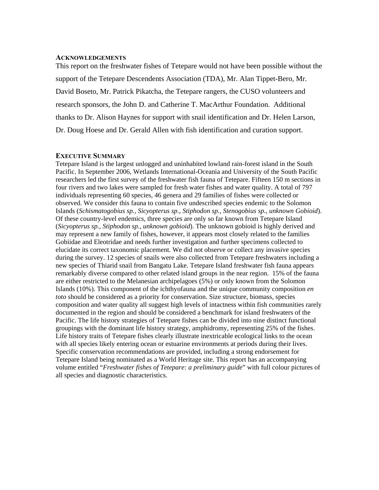#### **ACKNOWLEDGEMENTS**

This report on the freshwater fishes of Tetepare would not have been possible without the support of the Tetepare Descendents Association (TDA), Mr. Alan Tippet-Bero, Mr. David Boseto, Mr. Patrick Pikatcha, the Tetepare rangers, the CUSO volunteers and research sponsors, the John D. and Catherine T. MacArthur Foundation. Additional thanks to Dr. Alison Haynes for support with snail identification and Dr. Helen Larson, Dr. Doug Hoese and Dr. Gerald Allen with fish identification and curation support.

#### **EXECUTIVE SUMMARY**

Tetepare Island is the largest unlogged and uninhabited lowland rain-forest island in the South Pacific. In September 2006, Wetlands International-Oceania and University of the South Pacific researchers led the first survey of the freshwater fish fauna of Tetepare. Fifteen 150 m sections in four rivers and two lakes were sampled for fresh water fishes and water quality. A total of 797 individuals representing 60 species, 46 genera and 29 families of fishes were collected or observed. We consider this fauna to contain five undescribed species endemic to the Solomon Islands (*Schismatogobius sp., Sicyopterus sp., Stiphodon sp., Stenogobius sp., unknown Gobioid*). Of these country-level endemics, three species are only so far known from Tetepare Island (*Sicyopterus sp., Stiphodon sp., unknown gobioid*). The unknown gobioid is highly derived and may represent a new family of fishes, however, it appears most closely related to the families Gobiidae and Eleotridae and needs further investigation and further specimens collected to elucidate its correct taxonomic placement. We did not observe or collect any invasive species during the survey. 12 species of snails were also collected from Tetepare freshwaters including a new species of Thiarid snail from Bangatu Lake. Tetepare Island freshwater fish fauna appears remarkably diverse compared to other related island groups in the near region. 15% of the fauna are either restricted to the Melanesian archipelagoes (5%) or only known from the Solomon Islands (10%). This component of the ichthyofauna and the unique community composition *en toto* should be considered as a priority for conservation. Size structure, biomass, species composition and water quality all suggest high levels of intactness within fish communities rarely documented in the region and should be considered a benchmark for island freshwaters of the Pacific. The life history strategies of Tetepare fishes can be divided into nine distinct functional groupings with the dominant life history strategy, amphidromy, representing 25% of the fishes. Life history traits of Tetepare fishes clearly illustrate inextricable ecological links to the ocean with all species likely entering ocean or estuarine environments at periods during their lives. Specific conservation recommendations are provided, including a strong endorsement for Tetepare Island being nominated as a World Heritage site. This report has an accompanying volume entitled "*Freshwater fishes of Tetepare: a preliminary guide*" with full colour pictures of all species and diagnostic characteristics.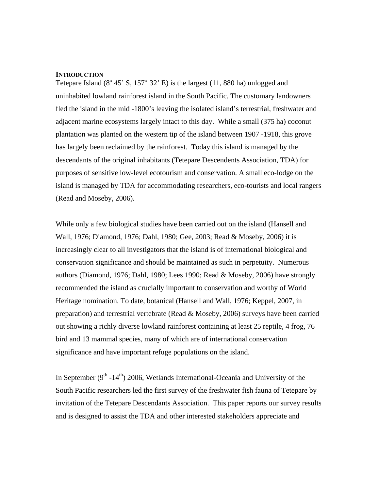#### **INTRODUCTION**

Tetepare Island  $(8^{\circ} 45^{\circ} S, 157^{\circ} 32^{\circ} E)$  is the largest  $(11, 880$  ha) unlogged and uninhabited lowland rainforest island in the South Pacific. The customary landowners fled the island in the mid -1800's leaving the isolated island's terrestrial, freshwater and adjacent marine ecosystems largely intact to this day. While a small (375 ha) coconut plantation was planted on the western tip of the island between 1907 -1918, this grove has largely been reclaimed by the rainforest. Today this island is managed by the descendants of the original inhabitants (Tetepare Descendents Association, TDA) for purposes of sensitive low-level ecotourism and conservation. A small eco-lodge on the island is managed by TDA for accommodating researchers, eco-tourists and local rangers (Read and Moseby, 2006).

While only a few biological studies have been carried out on the island (Hansell and Wall, 1976; Diamond, 1976; Dahl, 1980; Gee, 2003; Read & Moseby, 2006) it is increasingly clear to all investigators that the island is of international biological and conservation significance and should be maintained as such in perpetuity. Numerous authors (Diamond, 1976; Dahl, 1980; Lees 1990; Read & Moseby, 2006) have strongly recommended the island as crucially important to conservation and worthy of World Heritage nomination. To date, botanical (Hansell and Wall, 1976; Keppel, 2007, in preparation) and terrestrial vertebrate (Read & Moseby, 2006) surveys have been carried out showing a richly diverse lowland rainforest containing at least 25 reptile, 4 frog, 76 bird and 13 mammal species, many of which are of international conservation significance and have important refuge populations on the island.

In September  $(9^{th} - 14^{th})$  2006, Wetlands International-Oceania and University of the South Pacific researchers led the first survey of the freshwater fish fauna of Tetepare by invitation of the Tetepare Descendants Association. This paper reports our survey results and is designed to assist the TDA and other interested stakeholders appreciate and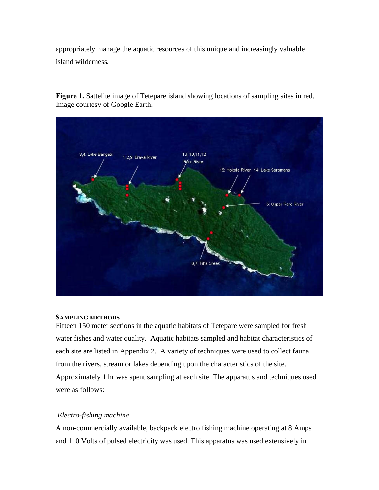appropriately manage the aquatic resources of this unique and increasingly valuable island wilderness.

**Figure 1.** Sattelite image of Tetepare island showing locations of sampling sites in red. Image courtesy of Google Earth.



#### **SAMPLING METHODS**

Fifteen 150 meter sections in the aquatic habitats of Tetepare were sampled for fresh water fishes and water quality. Aquatic habitats sampled and habitat characteristics of each site are listed in Appendix 2. A variety of techniques were used to collect fauna from the rivers, stream or lakes depending upon the characteristics of the site. Approximately 1 hr was spent sampling at each site. The apparatus and techniques used were as follows:

#### *Electro-fishing machine*

A non-commercially available, backpack electro fishing machine operating at 8 Amps and 110 Volts of pulsed electricity was used. This apparatus was used extensively in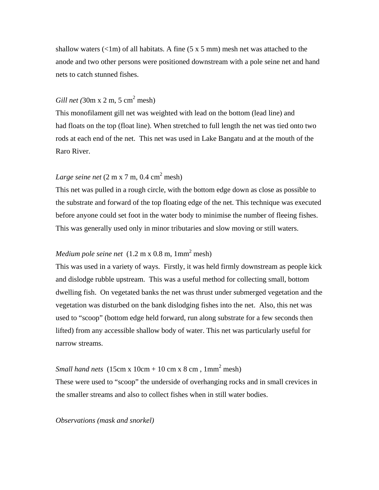shallow waters  $\left(\langle 1 \rangle \right)$  of all habitats. A fine (5 x 5 mm) mesh net was attached to the anode and two other persons were positioned downstream with a pole seine net and hand nets to catch stunned fishes.

## *Gill net* (30m x 2 m, 5 cm<sup>2</sup> mesh)

This monofilament gill net was weighted with lead on the bottom (lead line) and had floats on the top (float line). When stretched to full length the net was tied onto two rods at each end of the net. This net was used in Lake Bangatu and at the mouth of the Raro River.

## *Large seine net*  $(2 \text{ m x } 7 \text{ m}, 0.4 \text{ cm}^2 \text{ mesh})$

This net was pulled in a rough circle, with the bottom edge down as close as possible to the substrate and forward of the top floating edge of the net. This technique was executed before anyone could set foot in the water body to minimise the number of fleeing fishes. This was generally used only in minor tributaries and slow moving or still waters.

## *Medium pole seine net*  $(1.2 \text{ m x } 0.8 \text{ m}, 1 \text{mm}^2 \text{ mesh})$

This was used in a variety of ways. Firstly, it was held firmly downstream as people kick and dislodge rubble upstream. This was a useful method for collecting small, bottom dwelling fish. On vegetated banks the net was thrust under submerged vegetation and the vegetation was disturbed on the bank dislodging fishes into the net. Also, this net was used to "scoop" (bottom edge held forward, run along substrate for a few seconds then lifted) from any accessible shallow body of water. This net was particularly useful for narrow streams.

## *Small hand nets*  $(15cm x 10cm + 10 cm x 8 cm, 1mm<sup>2</sup> mesh)$

These were used to "scoop" the underside of overhanging rocks and in small crevices in the smaller streams and also to collect fishes when in still water bodies.

*Observations (mask and snorkel)*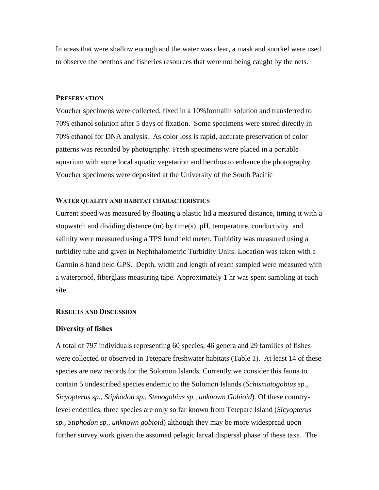In areas that were shallow enough and the water was clear, a mask and snorkel were used to observe the benthos and fisheries resources that were not being caught by the nets.

#### **PRESERVATION**

Voucher specimens were collected, fixed in a 10%formalin solution and transferred to 70% ethanol solution after 5 days of fixation. Some specimens were stored directly in 70% ethanol for DNA analysis. As color loss is rapid, accurate preservation of color patterns was recorded by photography. Fresh specimens were placed in a portable aquarium with some local aquatic vegetation and benthos to enhance the photography. Voucher specimens were deposited at the University of the South Pacific

#### **WATER QUALITY AND HABITAT CHARACTERISTICS**

Current speed was measured by floating a plastic lid a measured distance, timing it with a stopwatch and dividing distance (m) by time(s). pH, temperature, conductivity and salinity were measured using a TPS handheld meter. Turbidity was measured using a turbidity tube and given in Nephthalometric Turbidity Units. Location was taken with a Garmin 8 hand held GPS. Depth, width and length of reach sampled were measured with a waterproof, fiberglass measuring tape. Approximately 1 hr was spent sampling at each site.

#### **RESULTS AND DISCUSSION**

## **Diversity of fishes**

A total of 797 individuals representing 60 species, 46 genera and 29 families of fishes were collected or observed in Tetepare freshwater habitats (Table 1). At least 14 of these species are new records for the Solomon Islands. Currently we consider this fauna to contain 5 undescribed species endemic to the Solomon Islands (*Schismatogobius sp., Sicyopterus sp., Stiphodon sp., Stenogobius sp., unknown Gobioid*). Of these countrylevel endemics, three species are only so far known from Tetepare Island (*Sicyopterus sp., Stiphodon sp., unknown gobioid*) although they may be more widespread upon further survey work given the assumed pelagic larval dispersal phase of these taxa. The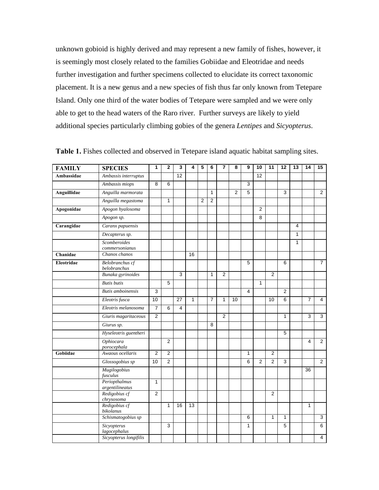unknown gobioid is highly derived and may represent a new family of fishes, however, it is seemingly most closely related to the families Gobiidae and Eleotridae and needs further investigation and further specimens collected to elucidate its correct taxonomic placement. It is a new genus and a new species of fish thus far only known from Tetepare Island. Only one third of the water bodies of Tetepare were sampled and we were only able to get to the head waters of the Raro river. Further surveys are likely to yield additional species particularly climbing gobies of the genera *Lentipes* and *Sicyopterus*.

| <b>FAMILY</b> | <b>SPECIES</b>                   | 1              | $\mathbf{2}$   | 3  | 4            | 5              | 6              | 7              | 8              | 9              | 10             | 11             | 12             | 13             | 14             | 15             |
|---------------|----------------------------------|----------------|----------------|----|--------------|----------------|----------------|----------------|----------------|----------------|----------------|----------------|----------------|----------------|----------------|----------------|
| Ambassidae    | Ambassis interruptus             |                |                | 12 |              |                |                |                |                |                | 12             |                |                |                |                |                |
|               | Ambassis miops                   | 8              | 6              |    |              |                |                |                |                | 3              |                |                |                |                |                |                |
| Anguillidae   | Anguilla marmorata               |                |                |    |              |                | $\mathbf{1}$   |                | $\overline{2}$ | $\overline{5}$ |                |                | 3              |                |                | $\overline{2}$ |
|               | Anguilla megastoma               |                | $\mathbf{1}$   |    |              | $\overline{2}$ | $\overline{2}$ |                |                |                |                |                |                |                |                |                |
| Apogonidae    | Apogon hyalosoma                 |                |                |    |              |                |                |                |                |                | $\overline{2}$ |                |                |                |                |                |
|               | Apogon sp.                       |                |                |    |              |                |                |                |                |                | 8              |                |                |                |                |                |
| Carangidae    | Caranx papuensis                 |                |                |    |              |                |                |                |                |                |                |                |                | $\overline{4}$ |                |                |
|               | Decapterus sp.                   |                |                |    |              |                |                |                |                |                |                |                |                | $\mathbf{1}$   |                |                |
|               | Scomberoides                     |                |                |    |              |                |                |                |                |                |                |                |                | $\mathbf{1}$   |                |                |
| Chanidae      | commersonianus<br>Chanos chanos  |                |                |    | 16           |                |                |                |                |                |                |                |                |                |                |                |
| Eleotridae    | Belobranchus cf                  |                |                |    |              |                |                |                |                | 5              |                |                | 6              |                |                | $\overline{7}$ |
|               | belobranchus                     |                |                |    |              |                |                |                |                |                |                |                |                |                |                |                |
|               | Bunaka gyrinoides                |                |                | 3  |              |                | $\mathbf{1}$   | $\overline{2}$ |                |                |                | $\overline{2}$ |                |                |                |                |
|               | <b>Butis</b> butis               |                | 5              |    |              |                |                |                |                |                | $\mathbf{1}$   |                |                |                |                |                |
|               | <b>Butis</b> amboinensis         | 3              |                |    |              |                |                |                |                | 4              |                |                | $\overline{2}$ |                |                |                |
|               | Eleotris fusca                   | 10             |                | 27 | $\mathbf{1}$ |                | $\overline{7}$ | $\mathbf{1}$   | 10             |                |                | 10             | 6              |                | $\overline{7}$ | 4              |
|               | Eleotris melanosoma              | $\overline{7}$ | 6              | 4  |              |                |                |                |                |                |                |                |                |                |                |                |
|               | Giuris magaritaceous             | $\overline{2}$ |                |    |              |                |                | $\overline{2}$ |                |                |                |                | 1              |                | 3              | 3              |
|               | Giurus sp.                       |                |                |    |              |                | 8              |                |                |                |                |                |                |                |                |                |
|               | Hyseleotris guentheri            |                |                |    |              |                |                |                |                |                |                |                | 5              |                |                |                |
|               | Ophiocara<br>porocephala         |                | $\overline{2}$ |    |              |                |                |                |                |                |                |                |                |                | 4              | $\overline{2}$ |
| Gobiidae      | Awaous ocellaris                 | $\overline{2}$ | $\overline{2}$ |    |              |                |                |                |                | $\mathbf{1}$   |                | $\overline{2}$ |                |                |                |                |
|               | Glossogobius sp                  | 10             | $\overline{2}$ |    |              |                |                |                |                | 6              | 2              | $\overline{c}$ | 3              |                |                | $\overline{2}$ |
|               | Mugilogobius<br>fusculus         |                |                |    |              |                |                |                |                |                |                |                |                |                | 36             |                |
|               | Periopthalmus                    | $\mathbf{1}$   |                |    |              |                |                |                |                |                |                |                |                |                |                |                |
|               | argentilineatus<br>Redigobius cf | 2              |                |    |              |                |                |                |                |                |                | $\overline{2}$ |                |                |                |                |
|               | chrysosoma                       |                |                |    |              |                |                |                |                |                |                |                |                |                |                |                |
|               | Redigobius cf                    |                | 1              | 16 | 13           |                |                |                |                |                |                |                |                |                | 1              |                |
|               | bikolanus<br>Schismatogobius sp  |                |                |    |              |                |                |                |                | 6              |                | 1              | 1              |                |                | 3              |
|               | Sicyopterus                      |                | 3              |    |              |                |                |                |                | 1              |                |                | 5              |                |                | 6              |
|               | lagocephalus                     |                |                |    |              |                |                |                |                |                |                |                |                |                |                |                |
|               | Sicyopterus longifilis           |                |                |    |              |                |                |                |                |                |                |                |                |                |                | 4              |

Table 1. Fishes collected and observed in Tetepare island aquatic habitat sampling sites.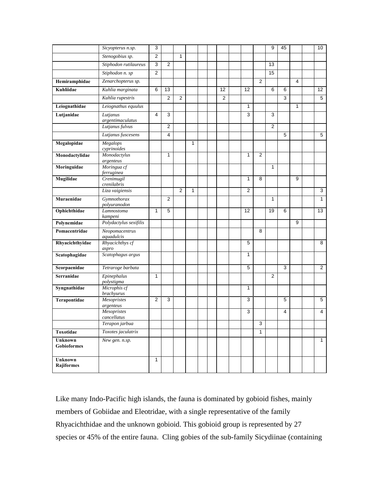|                              | Sicyopterus n.sp.                   | 3              |                |                |              |  |                |              |                | 9              | 45 |   | 10             |
|------------------------------|-------------------------------------|----------------|----------------|----------------|--------------|--|----------------|--------------|----------------|----------------|----|---|----------------|
|                              | Stenogobius sp.                     | $\overline{2}$ |                | $\mathbf{1}$   |              |  |                |              |                |                |    |   |                |
|                              | Stiphodon rutilaureus               | $\mathsf 3$    | $\overline{2}$ |                |              |  |                |              |                | 13             |    |   |                |
|                              | Stiphodon n. sp                     | $\overline{2}$ |                |                |              |  |                |              |                | 15             |    |   |                |
| Hemiramphidae                | Zenarchopterus sp.                  |                |                |                |              |  |                |              | $\overline{2}$ |                |    | 4 |                |
| Kuhliidae                    | Kuhlia marginata                    | 6              | 13             |                |              |  | 12             | 12           |                | 6              | 6  |   | 12             |
|                              | Kuhlia rupestris                    |                | $\overline{2}$ | $\overline{2}$ |              |  | $\overline{2}$ |              |                |                | 3  |   | $\overline{5}$ |
| Leiognathidae                | Leiognathus equulus                 |                |                |                |              |  |                | $\mathbf{1}$ |                |                |    | 1 |                |
| Lutjanidae                   | Lutjanus                            | 4              | 3              |                |              |  |                | 3            |                | 3              |    |   |                |
|                              | argentimaculatus<br>Lutjanus fulvus |                | $\overline{2}$ |                |              |  |                |              |                | $\overline{2}$ |    |   |                |
|                              | Lutjanus fuscesens                  |                | 4              |                |              |  |                |              |                |                | 5  |   | 5              |
| Megalopidae                  | Megalops                            |                |                |                | $\mathbf{1}$ |  |                |              |                |                |    |   |                |
|                              | cyprinoides                         |                |                |                |              |  |                |              |                |                |    |   |                |
| Monodactylidae               | Monodactylus<br>argenteus           |                | 1              |                |              |  |                | $\mathbf{1}$ | $\overline{2}$ |                |    |   |                |
| Moringuidae                  | Moringua cf                         |                |                |                |              |  |                |              |                | $\mathbf{1}$   |    |   |                |
| Mugilidae                    | ferruginea<br>Crenimugil            |                |                |                |              |  |                | $\mathbf{1}$ | 8              |                |    | 9 |                |
|                              | crenilabris                         |                |                |                |              |  |                |              |                |                |    |   |                |
|                              | Liza vaigiensis                     |                |                | 2              | $\mathbf{1}$ |  |                | 2            |                |                |    |   | 3              |
| Muraenidae                   | Gymnothorax<br>polyuranodon         |                | $\overline{2}$ |                |              |  |                |              |                | $\mathbf{1}$   |    |   | $\mathbf{1}$   |
| Ophichthidae                 | Lamnostoma<br>kampeni               | $\mathbf{1}$   | 5              |                |              |  |                | 12           |                | 19             | 6  |   | 13             |
| Polynemidae                  | Polydactylus sexifilis              |                |                |                |              |  |                |              |                |                |    | 9 |                |
| Pomacentridae                | Neopomacentrus<br>aquadulcis        |                |                |                |              |  |                |              | 8              |                |    |   |                |
| Rhyacichthyidae              | Rhyacichthys cf<br>aspro            |                |                |                |              |  |                | 5            |                |                |    |   | 8              |
| Scatophagidae                | Scatophagus argus                   |                |                |                |              |  |                | 1            |                |                |    |   |                |
| Scorpaenidae                 | Tetraroge barbata                   |                |                |                |              |  |                | 5            |                |                | 3  |   | $\overline{2}$ |
| Serranidae                   | Epinephalus<br>polystigma           | $\mathbf{1}$   |                |                |              |  |                |              |                | $\mathbf{2}$   |    |   |                |
| Syngnathidae                 | Microphis cf<br><b>brachvurus</b>   |                |                |                |              |  |                | $\mathbf{1}$ |                |                |    |   |                |
| Terapontidae                 | Mesopristes<br>argenteus            | 2              | 3              |                |              |  |                | 3            |                |                | 5  |   | 5              |
|                              | Mesopristes                         |                |                |                |              |  |                | 3            |                |                | 4  |   | 4              |
|                              | cancellatus<br>Terapon jarbua       |                |                |                |              |  |                |              | 3              |                |    |   |                |
| Toxotidae                    | Toxotes jaculatrix                  |                |                |                |              |  |                |              | $\mathbf{1}$   |                |    |   |                |
| <b>Unknown</b>               | New gen. n.sp.                      |                |                |                |              |  |                |              |                |                |    |   | $\mathbf{1}$   |
| <b>Gobioformes</b>           |                                     |                |                |                |              |  |                |              |                |                |    |   |                |
| <b>Unknown</b><br>Rajiformes |                                     | 1              |                |                |              |  |                |              |                |                |    |   |                |

Like many Indo-Pacific high islands, the fauna is dominated by gobioid fishes, mainly members of Gobiidae and Eleotridae, with a single representative of the family Rhyacichthidae and the unknown gobioid. This gobioid group is represented by 27 species or 45% of the entire fauna. Cling gobies of the sub-family Sicydiinae (containing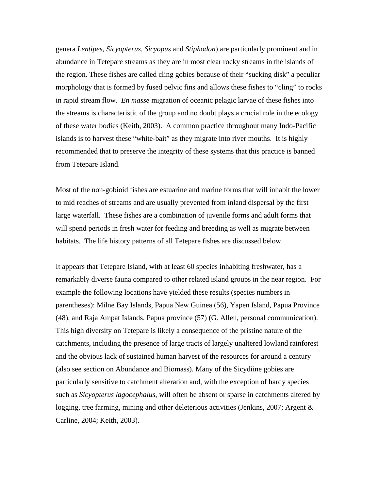genera *Lentipes, Sicyopterus, Sicyopus* and *Stiphodon*) are particularly prominent and in abundance in Tetepare streams as they are in most clear rocky streams in the islands of the region. These fishes are called cling gobies because of their "sucking disk" a peculiar morphology that is formed by fused pelvic fins and allows these fishes to "cling" to rocks in rapid stream flow. *En masse* migration of oceanic pelagic larvae of these fishes into the streams is characteristic of the group and no doubt plays a crucial role in the ecology of these water bodies (Keith, 2003). A common practice throughout many Indo-Pacific islands is to harvest these "white-bait" as they migrate into river mouths. It is highly recommended that to preserve the integrity of these systems that this practice is banned from Tetepare Island.

Most of the non-gobioid fishes are estuarine and marine forms that will inhabit the lower to mid reaches of streams and are usually prevented from inland dispersal by the first large waterfall. These fishes are a combination of juvenile forms and adult forms that will spend periods in fresh water for feeding and breeding as well as migrate between habitats. The life history patterns of all Tetepare fishes are discussed below.

It appears that Tetepare Island, with at least 60 species inhabiting freshwater, has a remarkably diverse fauna compared to other related island groups in the near region. For example the following locations have yielded these results (species numbers in parentheses): Milne Bay Islands, Papua New Guinea (56), Yapen Island, Papua Province (48), and Raja Ampat Islands, Papua province (57) (G. Allen, personal communication). This high diversity on Tetepare is likely a consequence of the pristine nature of the catchments, including the presence of large tracts of largely unaltered lowland rainforest and the obvious lack of sustained human harvest of the resources for around a century (also see section on Abundance and Biomass). Many of the Sicydiine gobies are particularly sensitive to catchment alteration and, with the exception of hardy species such as *Sicyopterus lagocephalus*, will often be absent or sparse in catchments altered by logging, tree farming, mining and other deleterious activities (Jenkins, 2007; Argent & Carline, 2004; Keith, 2003).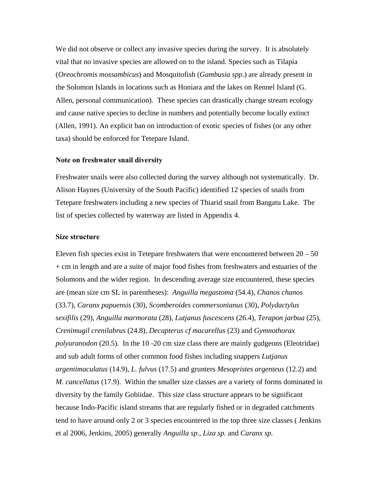We did not observe or collect any invasive species during the survey. It is absolutely vital that no invasive species are allowed on to the island. Species such as Tilapia (*Oreochromis mossambicus*) and Mosquitofish (*Gambusia spp*.) are already present in the Solomon Islands in locations such as Honiara and the lakes on Rennel Island (G. Allen, personal communication). These species can drastically change stream ecology and cause native species to decline in numbers and potentially become locally extinct (Allen, 1991). An explicit ban on introduction of exotic species of fishes (or any other taxa) should be enforced for Tetepare Island.

#### **Note on freshwater snail diversity**

Freshwater snails were also collected during the survey although not systematically. Dr. Alison Haynes (University of the South Pacific) identified 12 species of snails from Tetepare freshwaters including a new species of Thiarid snail from Bangatu Lake. The list of species collected by waterway are listed in Appendix 4.

#### **Size structure**

Eleven fish species exist in Tetepare freshwaters that were encountered between  $20 - 50$ + cm in length and are a suite of major food fishes from freshwaters and estuaries of the Solomons and the wider region. In descending average size encountered, these species are (mean size cm SL in parentheses): *Anguilla megastoma* (54.4), *Chanos chanos*  (33.7), *Caranx papuensis* (30), *Scomberoides commersonianus* (30), *Polydactylus sexifilis* (29), *Anguilla marmorata* (28), *Lutjanus fuscescens* (26.4), *Terapon jarbua* (25), *Crenimugil crenilabrus* (24.8), *Decapterus cf macarellus* (23) and *Gymnothorax polyuranodon* (20.5). In the 10 -20 cm size class there are mainly gudgeons (Eleotridae) and sub adult forms of other common food fishes including snappers *Lutjanus argentimaculatus* (14.9), *L. fulvus* (17.5) and grunters *Mesopristes argenteus* (12.2) and *M. cancellatus* (17.9). Within the smaller size classes are a variety of forms dominated in diversity by the family Gobiidae. This size class structure appears to be significant because Indo-Pacific island streams that are regularly fished or in degraded catchments tend to have around only 2 or 3 species encountered in the top three size classes ( Jenkins et al 2006, Jenkins, 2005) generally *Anguilla sp., Liza sp.* and *Caranx sp.*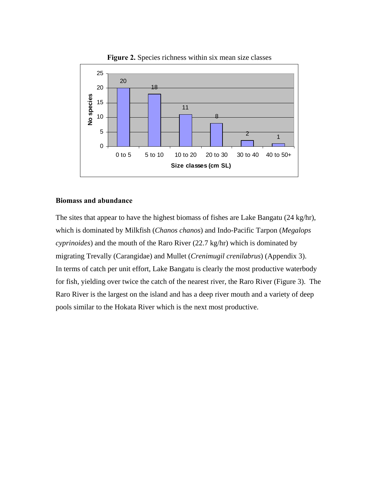

Figure 2. Species richness within six mean size classes

#### **Biomass and abundance**

The sites that appear to have the highest biomass of fishes are Lake Bangatu (24 kg/hr), which is dominated by Milkfish (*Chanos chanos*) and Indo-Pacific Tarpon (*Megalops cyprinoides*) and the mouth of the Raro River (22.7 kg/hr) which is dominated by migrating Trevally (Carangidae) and Mullet (*Crenimugil crenilabrus*) (Appendix 3). In terms of catch per unit effort, Lake Bangatu is clearly the most productive waterbody for fish, yielding over twice the catch of the nearest river, the Raro River (Figure 3). The Raro River is the largest on the island and has a deep river mouth and a variety of deep pools similar to the Hokata River which is the next most productive.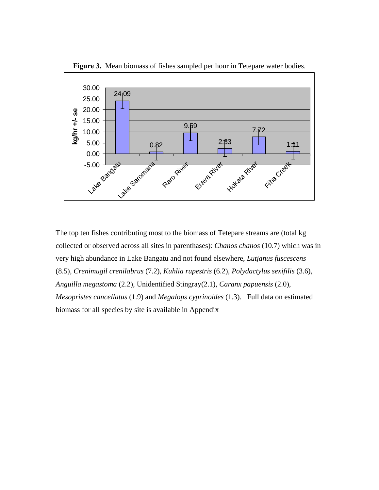

**Figure 3.** Mean biomass of fishes sampled per hour in Tetepare water bodies.

The top ten fishes contributing most to the biomass of Tetepare streams are (total kg collected or observed across all sites in parenthases): *Chanos chanos* (10.7) which was in very high abundance in Lake Bangatu and not found elsewhere, *Lutjanus fuscescens* (8.5), *Crenimugil crenilabrus* (7.2), *Kuhlia rupestris* (6.2), *Polydactylus sexifilis* (3.6), *Anguilla megastoma* (2.2), Unidentified Stingray(2.1), *Caranx papuensis* (2.0), *Mesopristes cancellatus* (1.9) and *Megalops cyprinoides* (1.3). Full data on estimated biomass for all species by site is available in Appendix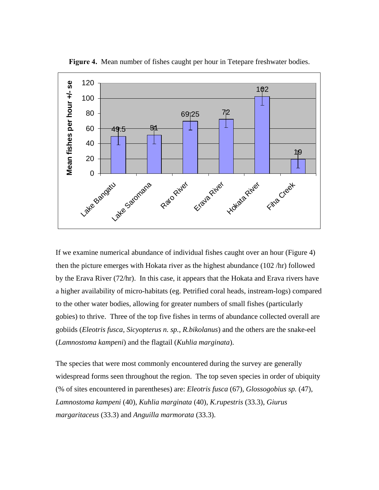

**Figure 4.** Mean number of fishes caught per hour in Tetepare freshwater bodies.

If we examine numerical abundance of individual fishes caught over an hour (Figure 4) then the picture emerges with Hokata river as the highest abundance (102 /hr) followed by the Erava River (72/hr). In this case, it appears that the Hokata and Erava rivers have a higher availability of micro-habitats (eg. Petrified coral heads, instream-logs) compared to the other water bodies, allowing for greater numbers of small fishes (particularly gobies) to thrive. Three of the top five fishes in terms of abundance collected overall are gobiids (*Eleotris fusca, Sicyopterus n. sp., R.bikolanus*) and the others are the snake-eel (*Lamnostoma kampeni*) and the flagtail (*Kuhlia marginata*).

The species that were most commonly encountered during the survey are generally widespread forms seen throughout the region. The top seven species in order of ubiquity (% of sites encountered in parentheses) are: *Eleotris fusca* (67), *Glossogobius sp.* (47), *Lamnostoma kampeni* (40), *Kuhlia marginata* (40), *K.rupestris* (33.3), *Giurus margaritaceus* (33.3) and *Anguilla marmorata* (33.3).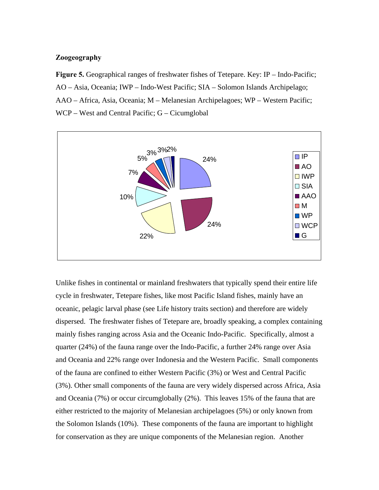#### **Zoogeography**

**Figure 5.** Geographical ranges of freshwater fishes of Tetepare. Key: IP – Indo-Pacific; AO – Asia, Oceania; IWP – Indo-West Pacific; SIA – Solomon Islands Archipelago; AAO – Africa, Asia, Oceania; M – Melanesian Archipelagoes; WP – Western Pacific; WCP – West and Central Pacific; G – Cicumglobal



Unlike fishes in continental or mainland freshwaters that typically spend their entire life cycle in freshwater, Tetepare fishes, like most Pacific Island fishes, mainly have an oceanic, pelagic larval phase (see Life history traits section) and therefore are widely dispersed. The freshwater fishes of Tetepare are, broadly speaking, a complex containing mainly fishes ranging across Asia and the Oceanic Indo-Pacific. Specifically, almost a quarter (24%) of the fauna range over the Indo-Pacific, a further 24% range over Asia and Oceania and 22% range over Indonesia and the Western Pacific. Small components of the fauna are confined to either Western Pacific (3%) or West and Central Pacific (3%). Other small components of the fauna are very widely dispersed across Africa, Asia and Oceania (7%) or occur circumglobally (2%). This leaves 15% of the fauna that are either restricted to the majority of Melanesian archipelagoes (5%) or only known from the Solomon Islands (10%). These components of the fauna are important to highlight for conservation as they are unique components of the Melanesian region. Another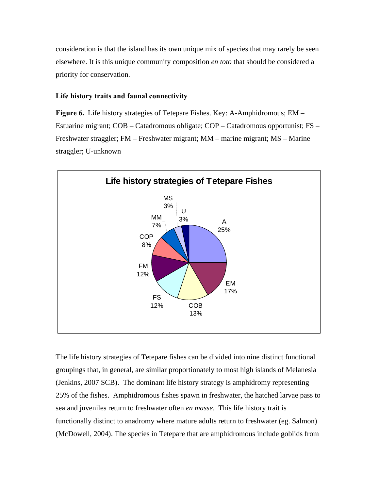consideration is that the island has its own unique mix of species that may rarely be seen elsewhere. It is this unique community composition *en toto* that should be considered a priority for conservation.

#### **Life history traits and faunal connectivity**

**Figure 6.** Life history strategies of Tetepare Fishes. Key: A-Amphidromous; EM – Estuarine migrant; COB – Catadromous obligate; COP – Catadromous opportunist; FS – Freshwater straggler; FM – Freshwater migrant; MM – marine migrant; MS – Marine straggler; U-unknown



The life history strategies of Tetepare fishes can be divided into nine distinct functional groupings that, in general, are similar proportionately to most high islands of Melanesia (Jenkins, 2007 SCB). The dominant life history strategy is amphidromy representing 25% of the fishes. Amphidromous fishes spawn in freshwater, the hatched larvae pass to sea and juveniles return to freshwater often *en masse*. This life history trait is functionally distinct to anadromy where mature adults return to freshwater (eg. Salmon) (McDowell, 2004). The species in Tetepare that are amphidromous include gobiids from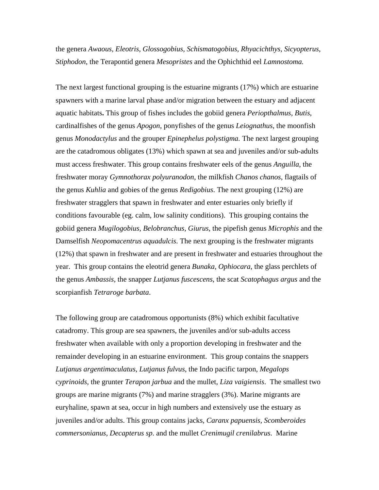the genera *Awaous, Eleotris, Glossogobius, Schismatogobius, Rhyacichthys, Sicyopterus, Stiphodon*, the Terapontid genera *Mesopristes* and the Ophichthid eel *Lamnostoma.*

The next largest functional grouping is the estuarine migrants (17%) which are estuarine spawners with a marine larval phase and/or migration between the estuary and adjacent aquatic habitats**.** This group of fishes includes the gobiid genera *Periopthalmus, Butis*, cardinalfishes of the genus *Apogon*, ponyfishes of the genus *Leiognathus*, the moonfish genus *Monodactylus* and the grouper *Epinephelus polystigma.* The next largest grouping are the catadromous obligates (13%) which spawn at sea and juveniles and/or sub-adults must access freshwater. This group contains freshwater eels of the genus *Anguilla*, the freshwater moray *Gymnothorax polyuranodon*, the milkfish *Chanos chanos*, flagtails of the genus *Kuhlia* and gobies of the genus *Redigobius*. The next grouping (12%) are freshwater stragglers that spawn in freshwater and enter estuaries only briefly if conditions favourable (eg. calm, low salinity conditions). This grouping contains the gobiid genera *Mugilogobius, Belobranchus, Giurus*, the pipefish genus *Microphis* and the Damselfish *Neopomacentrus aquadulcis*. The next grouping is the freshwater migrants (12%) that spawn in freshwater and are present in freshwater and estuaries throughout the year. This group contains the eleotrid genera *Bunaka, Ophiocara*, the glass perchlets of the genus *Ambassis*, the snapper *Lutjanus fuscescens*, the scat *Scatophagus argus* and the scorpianfish *Tetraroge barbata*.

The following group are catadromous opportunists (8%) which exhibit facultative catadromy. This group are sea spawners, the juveniles and/or sub-adults access freshwater when available with only a proportion developing in freshwater and the remainder developing in an estuarine environment. This group contains the snappers *Lutjanus argentimaculatus, Lutjanus fulvus*, the Indo pacific tarpon*, Megalops cyprinoids*, the grunter *Terapon jarbua* and the mullet, *Liza vaigiensis*. The smallest two groups are marine migrants (7%) and marine stragglers (3%). Marine migrants are euryhaline, spawn at sea, occur in high numbers and extensively use the estuary as juveniles and/or adults. This group contains jacks, *Caranx papuensis, Scomberoides commersonianus, Decapterus sp*. and the mullet *Crenimugil crenilabrus*. Marine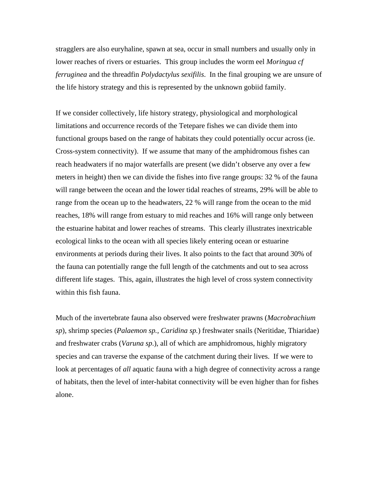stragglers are also euryhaline, spawn at sea, occur in small numbers and usually only in lower reaches of rivers or estuaries. This group includes the worm eel *Moringua cf ferruginea* and the threadfin *Polydactylus sexifilis*. In the final grouping we are unsure of the life history strategy and this is represented by the unknown gobiid family.

If we consider collectively, life history strategy, physiological and morphological limitations and occurrence records of the Tetepare fishes we can divide them into functional groups based on the range of habitats they could potentially occur across (ie. Cross-system connectivity). If we assume that many of the amphidromous fishes can reach headwaters if no major waterfalls are present (we didn't observe any over a few meters in height) then we can divide the fishes into five range groups: 32 % of the fauna will range between the ocean and the lower tidal reaches of streams, 29% will be able to range from the ocean up to the headwaters, 22 % will range from the ocean to the mid reaches, 18% will range from estuary to mid reaches and 16% will range only between the estuarine habitat and lower reaches of streams. This clearly illustrates inextricable ecological links to the ocean with all species likely entering ocean or estuarine environments at periods during their lives. It also points to the fact that around 30% of the fauna can potentially range the full length of the catchments and out to sea across different life stages. This, again, illustrates the high level of cross system connectivity within this fish fauna.

Much of the invertebrate fauna also observed were freshwater prawns (*Macrobrachium sp*), shrimp species (*Palaemon sp., Caridina sp.*) freshwater snails (Neritidae, Thiaridae) and freshwater crabs (*Varuna sp*.), all of which are amphidromous, highly migratory species and can traverse the expanse of the catchment during their lives. If we were to look at percentages of *all* aquatic fauna with a high degree of connectivity across a range of habitats, then the level of inter-habitat connectivity will be even higher than for fishes alone.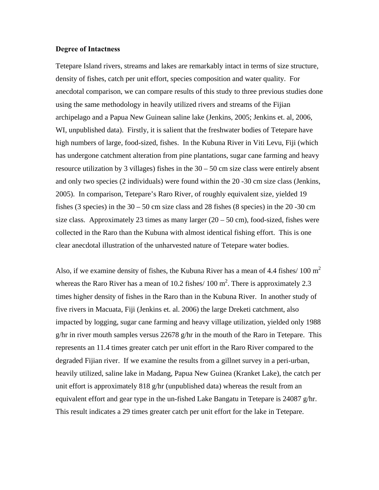#### **Degree of Intactness**

Tetepare Island rivers, streams and lakes are remarkably intact in terms of size structure, density of fishes, catch per unit effort, species composition and water quality. For anecdotal comparison, we can compare results of this study to three previous studies done using the same methodology in heavily utilized rivers and streams of the Fijian archipelago and a Papua New Guinean saline lake (Jenkins, 2005; Jenkins et. al, 2006, WI, unpublished data). Firstly, it is salient that the freshwater bodies of Tetepare have high numbers of large, food-sized, fishes. In the Kubuna River in Viti Levu, Fiji (which has undergone catchment alteration from pine plantations, sugar cane farming and heavy resource utilization by 3 villages) fishes in the 30 – 50 cm size class were entirely absent and only two species (2 individuals) were found within the 20 -30 cm size class (Jenkins, 2005). In comparison, Tetepare's Raro River, of roughly equivalent size, yielded 19 fishes (3 species) in the  $30 - 50$  cm size class and 28 fishes (8 species) in the  $20 - 30$  cm size class. Approximately 23 times as many larger  $(20 – 50$  cm), food-sized, fishes were collected in the Raro than the Kubuna with almost identical fishing effort. This is one clear anecdotal illustration of the unharvested nature of Tetepare water bodies.

Also, if we examine density of fishes, the Kubuna River has a mean of 4.4 fishes/ 100  $m<sup>2</sup>$ whereas the Raro River has a mean of 10.2 fishes/  $100 \text{ m}^2$ . There is approximately 2.3 times higher density of fishes in the Raro than in the Kubuna River. In another study of five rivers in Macuata, Fiji (Jenkins et. al. 2006) the large Dreketi catchment, also impacted by logging, sugar cane farming and heavy village utilization, yielded only 1988 g/hr in river mouth samples versus 22678 g/hr in the mouth of the Raro in Tetepare. This represents an 11.4 times greater catch per unit effort in the Raro River compared to the degraded Fijian river. If we examine the results from a gillnet survey in a peri-urban, heavily utilized, saline lake in Madang, Papua New Guinea (Kranket Lake), the catch per unit effort is approximately 818 g/hr (unpublished data) whereas the result from an equivalent effort and gear type in the un-fished Lake Bangatu in Tetepare is 24087 g/hr. This result indicates a 29 times greater catch per unit effort for the lake in Tetepare.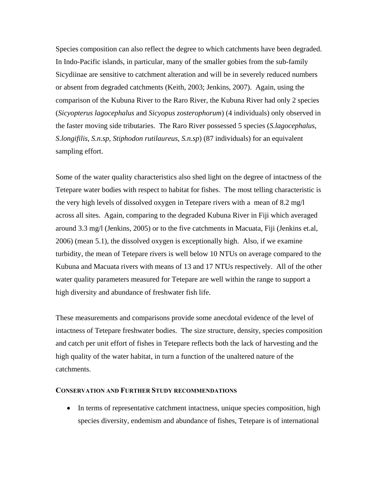Species composition can also reflect the degree to which catchments have been degraded. In Indo-Pacific islands, in particular, many of the smaller gobies from the sub-family Sicydiinae are sensitive to catchment alteration and will be in severely reduced numbers or absent from degraded catchments (Keith, 2003; Jenkins, 2007). Again, using the comparison of the Kubuna River to the Raro River, the Kubuna River had only 2 species (*Sicyopterus lagocephalus* and *Sicyopus zosterophorum*) (4 individuals) only observed in the faster moving side tributaries. The Raro River possessed 5 species (*S.lagocephalus*, *S.longifilis*, *S.n.sp*, *Stiphodon rutilaureus*, *S.n.sp*) (87 individuals) for an equivalent sampling effort.

Some of the water quality characteristics also shed light on the degree of intactness of the Tetepare water bodies with respect to habitat for fishes. The most telling characteristic is the very high levels of dissolved oxygen in Tetepare rivers with a mean of 8.2 mg/l across all sites. Again, comparing to the degraded Kubuna River in Fiji which averaged around 3.3 mg/l (Jenkins, 2005) or to the five catchments in Macuata, Fiji (Jenkins et.al, 2006) (mean 5.1), the dissolved oxygen is exceptionally high. Also, if we examine turbidity, the mean of Tetepare rivers is well below 10 NTUs on average compared to the Kubuna and Macuata rivers with means of 13 and 17 NTUs respectively. All of the other water quality parameters measured for Tetepare are well within the range to support a high diversity and abundance of freshwater fish life.

These measurements and comparisons provide some anecdotal evidence of the level of intactness of Tetepare freshwater bodies. The size structure, density, species composition and catch per unit effort of fishes in Tetepare reflects both the lack of harvesting and the high quality of the water habitat, in turn a function of the unaltered nature of the catchments.

#### **CONSERVATION AND FURTHER STUDY RECOMMENDATIONS**

• In terms of representative catchment intactness, unique species composition, high species diversity, endemism and abundance of fishes, Tetepare is of international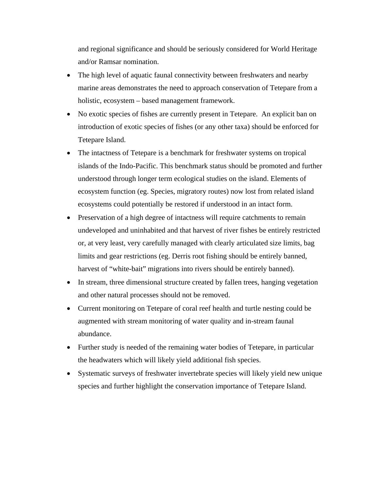and regional significance and should be seriously considered for World Heritage and/or Ramsar nomination.

- The high level of aquatic faunal connectivity between freshwaters and nearby marine areas demonstrates the need to approach conservation of Tetepare from a holistic, ecosystem – based management framework.
- No exotic species of fishes are currently present in Tetepare. An explicit ban on introduction of exotic species of fishes (or any other taxa) should be enforced for Tetepare Island.
- The intactness of Tetepare is a benchmark for freshwater systems on tropical islands of the Indo-Pacific. This benchmark status should be promoted and further understood through longer term ecological studies on the island. Elements of ecosystem function (eg. Species, migratory routes) now lost from related island ecosystems could potentially be restored if understood in an intact form.
- Preservation of a high degree of intactness will require catchments to remain undeveloped and uninhabited and that harvest of river fishes be entirely restricted or, at very least, very carefully managed with clearly articulated size limits, bag limits and gear restrictions (eg. Derris root fishing should be entirely banned, harvest of "white-bait" migrations into rivers should be entirely banned).
- In stream, three dimensional structure created by fallen trees, hanging vegetation and other natural processes should not be removed.
- Current monitoring on Tetepare of coral reef health and turtle nesting could be augmented with stream monitoring of water quality and in-stream faunal abundance.
- Further study is needed of the remaining water bodies of Tetepare, in particular the headwaters which will likely yield additional fish species.
- Systematic surveys of freshwater invertebrate species will likely yield new unique species and further highlight the conservation importance of Tetepare Island.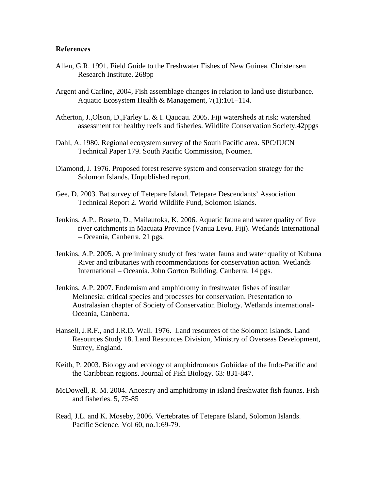#### **References**

- Allen, G.R. 1991. Field Guide to the Freshwater Fishes of New Guinea. Christensen Research Institute. 268pp
- Argent and Carline, 2004, Fish assemblage changes in relation to land use disturbance. Aquatic Ecosystem Health & Management, 7(1):101–114.
- Atherton, J.,Olson, D.,Farley L. & I. Qauqau. 2005. Fiji watersheds at risk: watershed assessment for healthy reefs and fisheries. Wildlife Conservation Society.42ppgs
- Dahl, A. 1980. Regional ecosystem survey of the South Pacific area. SPC/IUCN Technical Paper 179. South Pacific Commission, Noumea.
- Diamond, J. 1976. Proposed forest reserve system and conservation strategy for the Solomon Islands. Unpublished report.
- Gee, D. 2003. Bat survey of Tetepare Island. Tetepare Descendants' Association Technical Report 2. World Wildlife Fund, Solomon Islands.
- Jenkins, A.P., Boseto, D., Mailautoka, K. 2006. Aquatic fauna and water quality of five river catchments in Macuata Province (Vanua Levu, Fiji). Wetlands International – Oceania, Canberra. 21 pgs.
- Jenkins, A.P. 2005. A preliminary study of freshwater fauna and water quality of Kubuna River and tributaries with recommendations for conservation action. Wetlands International – Oceania. John Gorton Building, Canberra. 14 pgs.
- Jenkins, A.P. 2007. Endemism and amphidromy in freshwater fishes of insular Melanesia: critical species and processes for conservation. Presentation to Australasian chapter of Society of Conservation Biology. Wetlands international-Oceania, Canberra.
- Hansell, J.R.F., and J.R.D. Wall. 1976. Land resources of the Solomon Islands. Land Resources Study 18. Land Resources Division, Ministry of Overseas Development, Surrey, England.
- Keith, P. 2003. Biology and ecology of amphidromous Gobiidae of the Indo-Pacific and the Caribbean regions. Journal of Fish Biology. 63: 831-847.
- McDowell, R. M. 2004. Ancestry and amphidromy in island freshwater fish faunas. Fish and fisheries. 5, 75-85
- Read, J.L. and K. Moseby, 2006. Vertebrates of Tetepare Island, Solomon Islands. Pacific Science. Vol 60, no.1:69-79.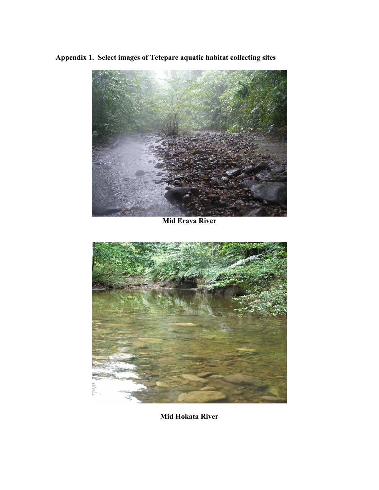**Appendix 1. Select images of Tetepare aquatic habitat collecting sites** 



**Mid Erava River** 



**Mid Hokata River**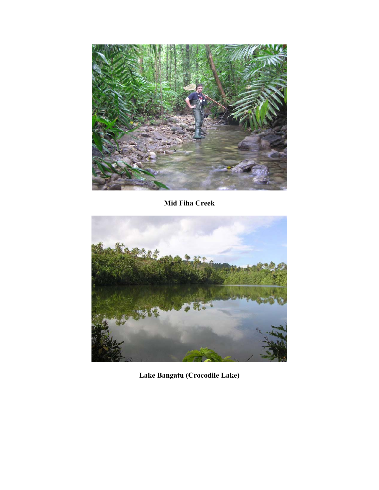

**Mid Fiha Creek** 



**Lake Bangatu (Crocodile Lake)**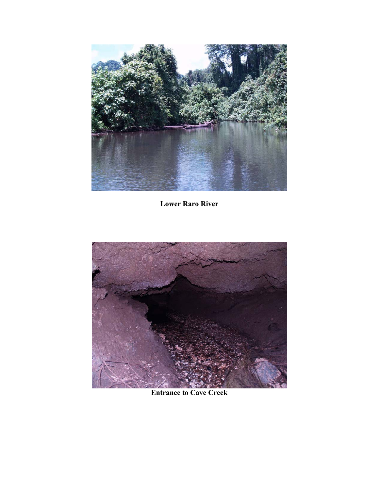

**Lower Raro River** 



**Entrance to Cave Creek**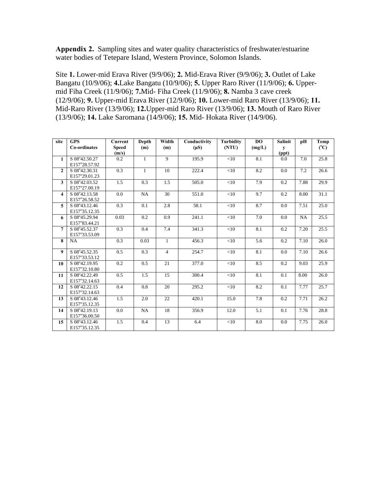**Appendix 2.** Sampling sites and water quality characteristics of freshwater/estuarine water bodies of Tetepare Island, Western Province, Solomon Islands.

Site **1.** Lower-mid Erava River (9/9/06); **2.** Mid-Erava River (9/9/06); **3.** Outlet of Lake Bangatu (10/9/06); **4.**Lake Bangatu (10/9/06); **5.** Upper Raro River (11/9/06); **6.** Uppermid Fiha Creek (11/9/06); **7.**Mid- Fiha Creek (11/9/06); **8.** Namba 3 cave creek (12/9/06); **9.** Upper-mid Erava River (12/9/06); **10.** Lower-mid Raro River (13/9/06); **11.** Mid-Raro River (13/9/06); **12.**Upper-mid Raro River (13/9/06); **13.** Mouth of Raro River (13/9/06); **14.** Lake Saromana (14/9/06); **15.** Mid- Hokata River (14/9/06).

| site             | <b>GPS</b>    | <b>Current</b> | Depth        | Width          | Conductivity | <b>Turbidity</b> | DO     | <b>Salinit</b> | pH        | Temp |
|------------------|---------------|----------------|--------------|----------------|--------------|------------------|--------|----------------|-----------|------|
|                  | Co-ordinates  | <b>Speed</b>   | (m)          | (m)            | $(\mu S)$    | (NTU)            | (mg/L) | y              |           | (C)  |
|                  |               | (m/s)          |              |                |              |                  |        | (ppt)          |           |      |
| $\mathbf{1}$     | S 08°42.50.27 | 0.2            | $\mathbf{1}$ | $\overline{9}$ | 195.9        | $<$ 10           | 8.1    | 0.0            | 7.0       | 25.8 |
|                  | E157°28.57.92 |                |              |                |              |                  |        |                |           |      |
| $\overline{2}$   | S 08°42.30.31 | 0.3            | $\mathbf{1}$ | 10             | 222.4        | <10              | 8.2    | 0.0            | 7.2       | 26.6 |
|                  | E157°29.01.23 |                |              |                |              |                  |        |                |           |      |
| 3                | S 08°42.03.52 | 1.5            | 0.3          | 1.5            | 505.0        | <10              | 7.9    | 0.2            | 7.88      | 29.9 |
|                  | E157°27.00.19 |                |              |                |              |                  |        |                |           |      |
| 4                | S 08°42.13.58 | 0.0            | NA           | 30             | 551.0        | $<$ 10           | 9.7    | 0.2            | 8.00      | 31.1 |
|                  | E157°26.58.52 |                |              |                |              |                  |        |                |           |      |
| 5                | S 08°43.12.46 | 0.3            | 0.1          | 2.8            | 58.1         | <10              | 8.7    | 0.0            | 7.51      | 25.0 |
|                  | E157°35.12.35 |                |              |                |              |                  |        |                |           |      |
| 6                | S 08°45.29.94 | 0.03           | 0.2          | 0.9            | 241.1        | <10              | 7.0    | 0.0            | <b>NA</b> | 25.5 |
|                  | E157°83.44.21 |                |              |                |              |                  |        |                |           |      |
| 7                | S 08°45.52.37 | 0.3            | 0.4          | 7.4            | 341.3        | <10              | 8.1    | 0.2            | 7.20      | 25.5 |
|                  | E157°33.53.09 |                |              |                |              |                  |        |                |           |      |
| 8                | NA            | 0.3            | 0.03         | $\mathbf{1}$   | 456.3        | $<$ 10           | 5.6    | 0.2            | 7.10      | 26.0 |
|                  |               |                |              |                |              |                  |        |                |           |      |
| $\boldsymbol{9}$ | S 08°45.52.35 | 0.5            | 0.3          | $\overline{4}$ | 254.7        | <10              | 8.1    | 0.0            | 7.10      | 26.6 |
|                  | E157°33.53.12 |                |              |                |              |                  |        |                |           |      |
| 10               | S 08°42.19.95 | 0.2            | 0.5          | 21             | 377.0        | <10              | 8.5    | 0.2            | 9.03      | 25.9 |
|                  | E157°32.10.80 |                |              |                |              |                  |        |                |           |      |
| 11               | S 08°42.22.49 | 0.5            | 1.5          | 15             | 300.4        | <10              | 8.1    | 0.1            | 8.00      | 26.0 |
|                  | E157°32.14.63 |                |              |                |              |                  |        |                |           |      |
| 12               | S 08°42.22.15 | 0.4            | 0.8          | 20             | 295.2        | <10              | 8.2    | 0.1            | 7.77      | 25.7 |
|                  | E157°32.14.63 |                |              |                |              |                  |        |                |           |      |
| 13               | S 08°43.12.46 | 1.5            | 2.0          | 22             | 420.1        | 15.0             | 7.8    | 0.2            | 7.71      | 26.2 |
|                  | E157°35.12.35 |                |              |                |              |                  |        |                |           |      |
| 14               | S 08°42.19.13 | 0.0            | <b>NA</b>    | 18             | 356.9        | 12.0             | 5.1    | 0.1            | 7.76      | 28.8 |
|                  | E157°36.00.50 |                |              |                |              |                  |        |                |           |      |
| 15               | S 08°43.12.46 | 1.5            | 0.4          | 13             | 6.4          | <10              | 8.0    | 0.0            | 7.75      | 26.0 |
|                  | E157°35.12.35 |                |              |                |              |                  |        |                |           |      |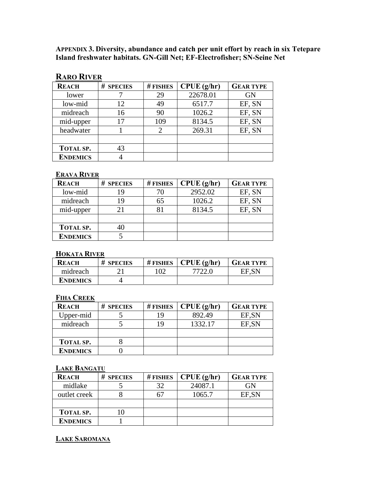**APPENDIX 3. Diversity, abundance and catch per unit effort by reach in six Tetepare Island freshwater habitats. GN-Gill Net; EF-Electrofisher; SN-Seine Net** 

## **RARO RIVER**

| <b>REACH</b>     | # SPECIES | # FISHES | CPUE(g/hr) | <b>GEAR TYPE</b> |
|------------------|-----------|----------|------------|------------------|
| lower            |           | 29       | 22678.01   | <b>GN</b>        |
| low-mid          | 12        | 49       | 6517.7     | EF, SN           |
| midreach         | 16        | 90       | 1026.2     | EF, SN           |
| mid-upper        | 17        | 109      | 8134.5     | EF, SN           |
| headwater        |           |          | 269.31     | EF, SN           |
|                  |           |          |            |                  |
| <b>TOTAL SP.</b> |           |          |            |                  |
| <b>ENDEMICS</b>  |           |          |            |                  |

## **ERAVA RIVER**

| <b>REACH</b>     | # SPECIES | $#$ FISHES | CPUE(g/hr) | <b>GEAR TYPE</b> |
|------------------|-----------|------------|------------|------------------|
| low-mid          |           | 70         | 2952.02    | EF, SN           |
| midreach         |           | 65         | 1026.2     | EF, SN           |
| mid-upper        |           | 81         | 8134.5     | EF, SN           |
|                  |           |            |            |                  |
| <b>TOTAL SP.</b> |           |            |            |                  |
| <b>ENDEMICS</b>  |           |            |            |                  |

#### **HOKATA RIVER**

| <b>REACH</b> | # SPECIES | $#$ FISHES | CPUE(g/hr) | <b>GEAR TYPE</b> |
|--------------|-----------|------------|------------|------------------|
| midreach     |           | 102        | 7722 G     | EF.SN            |
| ENDEMICS     |           |            |            |                  |

## **FIHA CREEK**

| <b>REACH</b>     | # SPECIES | $#$ FISHES | $\vert$ CPUE (g/hr) | <b>GEAR TYPE</b> |
|------------------|-----------|------------|---------------------|------------------|
| Upper-mid        |           | 19         | 892.49              | EF, SN           |
| midreach         |           | 19         | 1332.17             | EF, SN           |
|                  |           |            |                     |                  |
| <b>TOTAL SP.</b> |           |            |                     |                  |
| <b>ENDEMICS</b>  |           |            |                     |                  |

#### **LAKE BANGATU**

| <b>REACH</b>     | # SPECIES | $#$ FISHES | $\mathbf C$ PUE (g/hr) | <b>GEAR TYPE</b> |
|------------------|-----------|------------|------------------------|------------------|
| midlake          |           | 32         | 24087.1                | GN               |
| outlet creek     |           | 67         | 1065.7                 | EF, SN           |
|                  |           |            |                        |                  |
| <b>TOTAL SP.</b> |           |            |                        |                  |
| <b>ENDEMICS</b>  |           |            |                        |                  |

## **LAKE SAROMANA**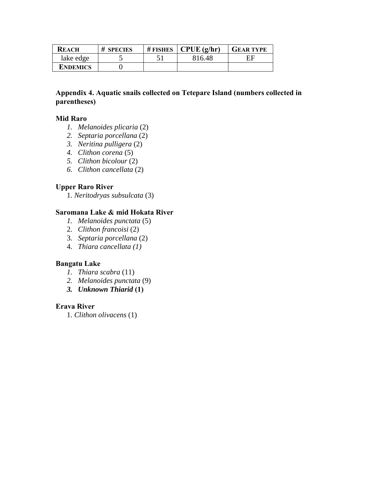| <b>REACH</b>    | # SPECIES | # FISHES $\mathbf \cdot$ CPUE (g/hr) | <b>GEAR TYPE</b> |
|-----------------|-----------|--------------------------------------|------------------|
| lake edge       |           | 816.48                               |                  |
| <b>ENDEMICS</b> |           |                                      |                  |

## **Appendix 4. Aquatic snails collected on Tetepare Island (numbers collected in parentheses)**

## **Mid Raro**

- *1. Melanoides plicaria* (2)
- *2. Septaria porcellana* (2)
- *3. Neritina pulligera* (2)
- *4. Clithon corena* (5)
- *5. Clithon bicolour* (2)
- *6. Clithon cancellata* (2)

## **Upper Raro River**

1. *Neritodryas subsulcata* (3)

## **Saromana Lake & mid Hokata River**

- *1. Melanoides punctata* (5)
- 2. *Clithon francoisi* (2)
- 3. *Septaria porcellana* (2)
- 4. *Thiara cancellata (1)*

## **Bangatu Lake**

- *1. Thiara scabra* (11)
- *2. Melanoides punctata* (9)
- *3. Unknown Thiarid* **(1)**

## **Erava River**

1. *Clithon olivacens* (1)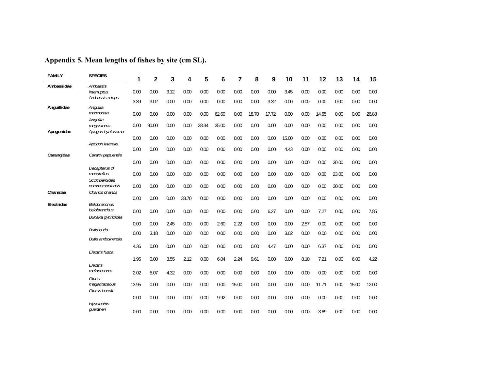| <b>FAMILY</b> | <b>SPECIES</b>                                    | 1     | $\overline{2}$ | 3    | 4     | 5     | 6     | 7     | 8     | 9     | 10    | 11   | 12    | 13    | 14    | 15    |
|---------------|---------------------------------------------------|-------|----------------|------|-------|-------|-------|-------|-------|-------|-------|------|-------|-------|-------|-------|
| Ambassidae    | Ambassis<br>interruptus                           | 0.00  | 0.00           | 3.12 | 0.00  | 0.00  | 0.00  | 0.00  | 0.00  | 0.00  | 3.45  | 0.00 | 0.00  | 0.00  | 0.00  | 0.00  |
|               | Ambassis miops                                    |       |                |      |       |       |       |       |       |       |       |      |       |       |       |       |
| Anguillidae   | Anguilla                                          | 3.39  | 3.02           | 0.00 | 0.00  | 0.00  | 0.00  | 0.00  | 0.00  | 3.32  | 0.00  | 0.00 | 0.00  | 0.00  | 0.00  | 0.00  |
|               | marmorata<br>Anguilla                             | 0.00  | 0.00           | 0.00 | 0.00  | 0.00  | 62.60 | 0.00  | 18.70 | 17.72 | 0.00  | 0.00 | 14.65 | 0.00  | 0.00  | 26.88 |
| Apogonidae    | megastoma<br>Apogon hyalosoma                     | 0.00  | 90.00          | 0.00 | 0.00  | 38.34 | 35.00 | 0.00  | 0.00  | 0.00  | 0.00  | 0.00 | 0.00  | 0.00  | 0.00  | 0.00  |
|               |                                                   | 0.00  | 0.00           | 0.00 | 0.00  | 0.00  | 0.00  | 0.00  | 0.00  | 0.00  | 15.00 | 0.00 | 0.00  | 0.00  | 0.00  | 0.00  |
|               | Apogon lateralis                                  | 0.00  | 0.00           | 0.00 | 0.00  | 0.00  | 0.00  | 0.00  | 0.00  | 0.00  | 4.43  | 0.00 | 0.00  | 0.00  | 0.00  | 0.00  |
| Carangidae    | Caranx papuensis                                  |       |                |      |       |       |       |       |       |       |       |      |       |       |       |       |
|               |                                                   | 0.00  | 0.00           | 0.00 | 0.00  | 0.00  | 0.00  | 0.00  | 0.00  | 0.00  | 0.00  | 0.00 | 0.00  | 30.00 | 0.00  | 0.00  |
|               | Decapterus cf<br>macarellus<br>Scomberoides       | 0.00  | 0.00           | 0.00 | 0.00  | 0.00  | 0.00  | 0.00  | 0.00  | 0.00  | 0.00  | 0.00 | 0.00  | 23.00 | 0.00  | 0.00  |
| Chanidae      | commersonianus<br>Chanos chanos                   | 0.00  | 0.00           | 0.00 | 0.00  | 0.00  | 0.00  | 0.00  | 0.00  | 0.00  | 0.00  | 0.00 | 0.00  | 30.00 | 0.00  | 0.00  |
|               |                                                   | 0.00  | 0.00           | 0.00 | 33.70 | 0.00  | 0.00  | 0.00  | 0.00  | 0.00  | 0.00  | 0.00 | 0.00  | 0.00  | 0.00  | 0.00  |
| Eleotridae    | Belobranchus<br>belobranchus<br>Bunaka gyrinoides | 0.00  | 0.00           | 0.00 | 0.00  | 0.00  | 0.00  | 0.00  | 0.00  | 6.27  | 0.00  | 0.00 | 7.27  | 0.00  | 0.00  | 7.85  |
|               |                                                   | 0.00  | 0.00           | 2.45 | 0.00  | 0.00  | 2.60  | 2.22  | 0.00  | 0.00  | 0.00  | 2.57 | 0.00  | 0.00  | 0.00  | 0.00  |
|               | <b>Butis butis</b>                                | 0.00  | 3.18           | 0.00 | 0.00  | 0.00  | 0.00  | 0.00  | 0.00  | 0.00  | 3.02  | 0.00 | 0.00  | 0.00  | 0.00  | 0.00  |
|               | <b>Butis amboinensis</b>                          |       |                |      |       |       |       |       |       |       |       |      |       |       |       |       |
|               | Eleotris fusca                                    | 4.36  | 0.00           | 0.00 | 0.00  | 0.00  | 0.00  | 0.00  | 0.00  | 4.47  | 0.00  | 0.00 | 6.37  | 0.00  | 0.00  | 0.00  |
|               | <b>Fleotris</b>                                   | 1.95  | 0.00           | 3.55 | 2.12  | 0.00  | 6.04  | 2.24  | 9.61  | 0.00  | 0.00  | 8.10 | 7.21  | 0.00  | 6.00  | 4.22  |
|               | melanosoma<br>Giuris                              | 2.02  | 5.07           | 4.32 | 0.00  | 0.00  | 0.00  | 0.00  | 0.00  | 0.00  | 0.00  | 0.00 | 0.00  | 0.00  | 0.00  | 0.00  |
|               | magaritaceous<br>Giurus hoedti                    | 13.95 | 0.00           | 0.00 | 0.00  | 0.00  | 0.00  | 15.00 | 0.00  | 0.00  | 0.00  | 0.00 | 11.71 | 0.00  | 15.00 | 12.00 |
|               | <b>Hyseleotris</b>                                | 0.00  | 0.00           | 0.00 | 0.00  | 0.00  | 9.92  | 0.00  | 0.00  | 0.00  | 0.00  | 0.00 | 0.00  | 0.00  | 0.00  | 0.00  |
|               | quentheri                                         | 0.00  | 0.00           | 0.00 | 0.00  | 0.00  | 0.00  | 0.00  | 0.00  | 0.00  | 0.00  | 0.00 | 3.69  | 0.00  | 0.00  | 0.00  |

## **Appendix 5. Mean lengths of fishes by site (cm SL).**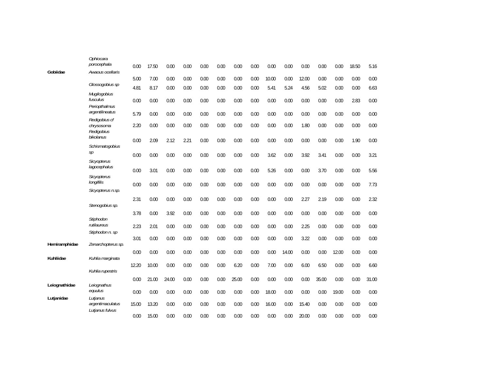|               | Ophiocara<br>porocephala                  |       |       |       |      |      |      |       |      |       |       |       |       |       |       |       |
|---------------|-------------------------------------------|-------|-------|-------|------|------|------|-------|------|-------|-------|-------|-------|-------|-------|-------|
| Gobiidae      | Awaous ocellaris                          | 0.00  | 17.50 | 0.00  | 0.00 | 0.00 | 0.00 | 0.00  | 0.00 | 0.00  | 0.00  | 0.00  | 0.00  | 0.00  | 18.50 | 5.16  |
|               |                                           | 5.00  | 7.00  | 0.00  | 0.00 | 0.00 | 0.00 | 0.00  | 0.00 | 10.00 | 0.00  | 12.00 | 0.00  | 0.00  | 0.00  | 0.00  |
|               | Glossogobius sp                           | 4.81  | 8.17  | 0.00  | 0.00 | 0.00 | 0.00 | 0.00  | 0.00 | 5.41  | 5.24  | 4.56  | 5.02  | 0.00  | 0.00  | 6.63  |
|               | Mugilogobius<br>fusculus                  | 0.00  | 0.00  | 0.00  | 0.00 | 0.00 | 0.00 | 0.00  | 0.00 | 0.00  | 0.00  | 0.00  | 0.00  | 0.00  | 2.83  | 0.00  |
|               | Periopthalmus<br>argentilineatus          | 5.79  | 0.00  | 0.00  | 0.00 | 0.00 | 0.00 | 0.00  | 0.00 | 0.00  | 0.00  | 0.00  | 0.00  | 0.00  | 0.00  | 0.00  |
|               | Redigobius cf<br>chrysosoma<br>Redigobius | 2.20  | 0.00  | 0.00  | 0.00 | 0.00 | 0.00 | 0.00  | 0.00 | 0.00  | 0.00  | 1.80  | 0.00  | 0.00  | 0.00  | 0.00  |
|               | bikolanus                                 | 0.00  | 2.09  | 2.12  | 2.21 | 0.00 | 0.00 | 0.00  | 0.00 | 0.00  | 0.00  | 0.00  | 0.00  | 0.00  | 1.90  | 0.00  |
|               | Schismatogobius<br>sp                     | 0.00  | 0.00  | 0.00  | 0.00 | 0.00 | 0.00 | 0.00  | 0.00 | 3.62  | 0.00  | 3.92  | 3.41  | 0.00  | 0.00  | 3.21  |
|               | Sicyopterus<br>lagocephalus               | 0.00  | 3.01  | 0.00  | 0.00 | 0.00 | 0.00 | 0.00  | 0.00 | 5.26  | 0.00  | 0.00  | 3.70  | 0.00  | 0.00  | 5.56  |
|               | Sicyopterus<br>longifilis                 | 0.00  | 0.00  | 0.00  | 0.00 | 0.00 | 0.00 | 0.00  | 0.00 | 0.00  | 0.00  | 0.00  | 0.00  | 0.00  | 0.00  | 7.73  |
|               | Sicyopterus n.sp.                         |       |       |       |      |      |      |       |      |       |       |       |       |       |       |       |
|               | Stenogobius sp.                           | 2.31  | 0.00  | 0.00  | 0.00 | 0.00 | 0.00 | 0.00  | 0.00 | 0.00  | 0.00  | 2.27  | 2.19  | 0.00  | 0.00  | 2.32  |
|               |                                           | 3.78  | 0.00  | 3.92  | 0.00 | 0.00 | 0.00 | 0.00  | 0.00 | 0.00  | 0.00  | 0.00  | 0.00  | 0.00  | 0.00  | 0.00  |
|               | Stiphodon<br>rutilaureus                  | 2.23  | 2.01  | 0.00  | 0.00 | 0.00 | 0.00 | 0.00  | 0.00 | 0.00  | 0.00  | 2.25  | 0.00  | 0.00  | 0.00  | 0.00  |
| Hemiramphidae | Stiphodon n. sp<br>Zenarchopterus sp.     | 3.01  | 0.00  | 0.00  | 0.00 | 0.00 | 0.00 | 0.00  | 0.00 | 0.00  | 0.00  | 3.22  | 0.00  | 0.00  | 0.00  | 0.00  |
| Kuhliidae     | Kuhlia marginata                          | 0.00  | 0.00  | 0.00  | 0.00 | 0.00 | 0.00 | 0.00  | 0.00 | 0.00  | 14.00 | 0.00  | 0.00  | 12.00 | 0.00  | 0.00  |
|               | Kuhlia rupestris                          | 12.20 | 10.00 | 0.00  | 0.00 | 0.00 | 0.00 | 6.20  | 0.00 | 7.00  | 0.00  | 6.00  | 6.50  | 0.00  | 0.00  | 6.60  |
|               |                                           | 0.00  | 21.00 | 24.00 | 0.00 | 0.00 | 0.00 | 25.00 | 0.00 | 0.00  | 0.00  | 0.00  | 35.00 | 0.00  | 0.00  | 31.00 |
| Leiognathidae | Leiognathus<br>equulus                    | 0.00  | 0.00  | 0.00  | 0.00 | 0.00 | 0.00 | 0.00  | 0.00 | 18.00 | 0.00  | 0.00  | 0.00  | 19.00 | 0.00  | 0.00  |
| Lutjanidae    | Lutjanus<br>argentimaculatus              | 15.00 | 13.20 | 0.00  | 0.00 | 0.00 | 0.00 | 0.00  | 0.00 | 16.00 | 0.00  | 15.40 | 0.00  | 0.00  | 0.00  | 0.00  |
|               | Lutjanus fulvus                           | 0.00  | 15.00 | 0.00  | 0.00 | 0.00 | 0.00 | 0.00  | 0.00 | 0.00  | 0.00  | 20.00 | 0.00  | 0.00  | 0.00  | 0.00  |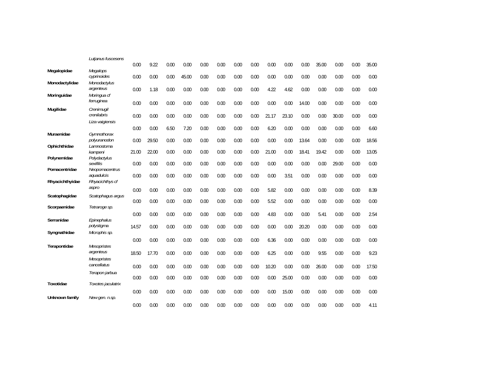|                 | Lutjanus fuscesens           |       |       |      |       |      |      |      |      |       |       |       |       |       |      |       |
|-----------------|------------------------------|-------|-------|------|-------|------|------|------|------|-------|-------|-------|-------|-------|------|-------|
|                 |                              | 0.00  | 9.22  | 0.00 | 0.00  | 0.00 | 0.00 | 0.00 | 0.00 | 0.00  | 0.00  | 0.00  | 35.00 | 0.00  | 0.00 | 35.00 |
| Megalopidae     | Megalops                     |       |       |      |       |      |      |      |      |       |       |       |       |       |      |       |
| Monodactylidae  | cyprinoides<br>Monodactylus  | 0.00  | 0.00  | 0.00 | 45.00 | 0.00 | 0.00 | 0.00 | 0.00 | 0.00  | 0.00  | 0.00  | 0.00  | 0.00  | 0.00 | 0.00  |
|                 | argenteus                    | 0.00  | 1.18  | 0.00 | 0.00  | 0.00 | 0.00 | 0.00 | 0.00 | 4.22  | 4.62  | 0.00  | 0.00  | 0.00  | 0.00 | 0.00  |
| Moringuidae     | Moringua cf                  |       |       |      |       |      |      |      |      |       |       |       |       |       |      |       |
|                 | ferruginea                   | 0.00  | 0.00  | 0.00 | 0.00  | 0.00 | 0.00 | 0.00 | 0.00 | 0.00  | 0.00  | 14.00 | 0.00  | 0.00  | 0.00 | 0.00  |
| Mugilidae       | Crenimugil<br>crenilabris    |       |       |      |       |      |      |      |      |       |       |       |       |       |      |       |
|                 | Liza vaigiensis              | 0.00  | 0.00  | 0.00 | 0.00  | 0.00 | 0.00 | 0.00 | 0.00 | 21.17 | 23.10 | 0.00  | 0.00  | 30.00 | 0.00 | 0.00  |
|                 |                              | 0.00  | 0.00  | 6.50 | 7.20  | 0.00 | 0.00 | 0.00 | 0.00 | 6.20  | 0.00  | 0.00  | 0.00  | 0.00  | 0.00 | 6.60  |
| Muraenidae      | Gymnothorax                  |       |       |      |       |      |      |      |      |       |       |       |       |       |      |       |
|                 | polyuranodon<br>Lamnostoma   | 0.00  | 29.50 | 0.00 | 0.00  | 0.00 | 0.00 | 0.00 | 0.00 | 0.00  | 0.00  | 13.64 | 0.00  | 0.00  | 0.00 | 18.56 |
| Ophichthidae    | kampeni                      | 21.00 | 22.00 | 0.00 | 0.00  | 0.00 | 0.00 | 0.00 | 0.00 | 21.00 | 0.00  | 18.41 | 19.42 | 0.00  | 0.00 | 13.05 |
| Polynemidae     | Polydactylus                 |       |       |      |       |      |      |      |      |       |       |       |       |       |      |       |
|                 | sexifilis                    | 0.00  | 0.00  | 0.00 | 0.00  | 0.00 | 0.00 | 0.00 | 0.00 | 0.00  | 0.00  | 0.00  | 0.00  | 29.00 | 0.00 | 0.00  |
| Pomacentridae   | Neopomacentrus<br>aquadulcis | 0.00  | 0.00  | 0.00 | 0.00  | 0.00 | 0.00 | 0.00 | 0.00 | 0.00  | 3.51  | 0.00  | 0.00  | 0.00  | 0.00 | 0.00  |
| Rhyacichthyidae | Rhyacichthys cf              |       |       |      |       |      |      |      |      |       |       |       |       |       |      |       |
|                 | aspro                        | 0.00  | 0.00  | 0.00 | 0.00  | 0.00 | 0.00 | 0.00 | 0.00 | 5.82  | 0.00  | 0.00  | 0.00  | 0.00  | 0.00 | 8.39  |
| Scatophagidae   | Scatophagus argus            |       |       |      |       |      |      |      |      |       |       |       |       |       |      |       |
| Scorpaenidae    | Tetraroge sp.                | 0.00  | 0.00  | 0.00 | 0.00  | 0.00 | 0.00 | 0.00 | 0.00 | 5.52  | 0.00  | 0.00  | 0.00  | 0.00  | 0.00 | 0.00  |
|                 |                              | 0.00  | 0.00  | 0.00 | 0.00  | 0.00 | 0.00 | 0.00 | 0.00 | 4.83  | 0.00  | 0.00  | 5.41  | 0.00  | 0.00 | 2.54  |
| Serranidae      | Epinephalus                  |       |       |      |       |      |      |      |      |       |       |       |       |       |      |       |
|                 | polystigma                   | 14.57 | 0.00  | 0.00 | 0.00  | 0.00 | 0.00 | 0.00 | 0.00 | 0.00  | 0.00  | 20.20 | 0.00  | 0.00  | 0.00 | 0.00  |
| Syngnathidae    | Microphis sp.                |       |       |      |       |      |      |      |      |       |       |       |       |       |      |       |
| Terapontidae    | <b>Mesopristes</b>           | 0.00  | 0.00  | 0.00 | 0.00  | 0.00 | 0.00 | 0.00 | 0.00 | 6.36  | 0.00  | 0.00  | 0.00  | 0.00  | 0.00 | 0.00  |
|                 | argenteus                    | 18.50 | 17.70 | 0.00 | 0.00  | 0.00 | 0.00 | 0.00 | 0.00 | 6.25  | 0.00  | 0.00  | 9.55  | 0.00  | 0.00 | 9.23  |
|                 | Mesopristes                  |       |       |      |       |      |      |      |      |       |       |       |       |       |      |       |
|                 | cancellatus                  | 0.00  | 0.00  | 0.00 | 0.00  | 0.00 | 0.00 | 0.00 | 0.00 | 10.20 | 0.00  | 0.00  | 26.00 | 0.00  | 0.00 | 17.50 |
|                 | Terapon jarbua               |       |       |      |       |      |      |      |      |       |       |       |       |       | 0.00 |       |
| Toxotidae       | Toxotes jaculatrix           | 0.00  | 0.00  | 0.00 | 0.00  | 0.00 | 0.00 | 0.00 | 0.00 | 0.00  | 25.00 | 0.00  | 0.00  | 0.00  |      | 0.00  |
|                 |                              | 0.00  | 0.00  | 0.00 | 0.00  | 0.00 | 0.00 | 0.00 | 0.00 | 0.00  | 15.00 | 0.00  | 0.00  | 0.00  | 0.00 | 0.00  |
| Unknown family  | New gen. n.sp.               |       |       |      |       |      |      |      |      |       |       |       |       |       |      |       |
|                 |                              | 0.00  | 0.00  | 0.00 | 0.00  | 0.00 | 0.00 | 0.00 | 0.00 | 0.00  | 0.00  | 0.00  | 0.00  | 0.00  | 0.00 | 4.11  |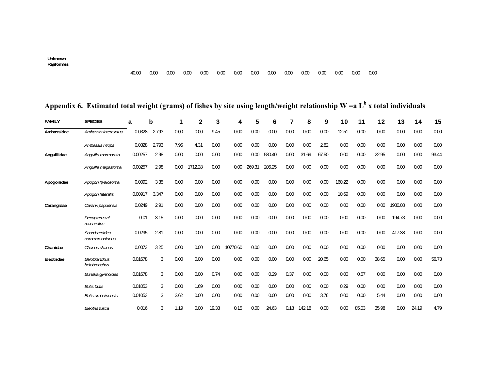**Unknown Rajiformes** 

## **Appendix 6. Estimated total weight (grams) of fishes by site using length/weight relationship W =a Lb x total individuals**

| <b>FAMILY</b> | <b>SPECIES</b>                        | a       | b     | 1    | $\mathbf{2}$ | 3     | 4        | 5      | 6      | 7    | 8      | 9     | 10     | 11    | 12    | 13      | 14    | 15    |
|---------------|---------------------------------------|---------|-------|------|--------------|-------|----------|--------|--------|------|--------|-------|--------|-------|-------|---------|-------|-------|
| Ambassidae    | Ambassis interruptus                  | 0.0328  | 2.793 | 0.00 | 0.00         | 9.45  | 0.00     | 0.00   | 0.00   | 0.00 | 0.00   | 0.00  | 12.51  | 0.00  | 0.00  | 0.00    | 0.00  | 0.00  |
|               | Ambassis miops                        | 0.0328  | 2.793 | 7.95 | 4.31         | 0.00  | 0.00     | 0.00   | 0.00   | 0.00 | 0.00   | 2.82  | 0.00   | 0.00  | 0.00  | 0.00    | 0.00  | 0.00  |
| Anguillidae   | Anguilla marmorata                    | 0.00257 | 2.98  | 0.00 | 0.00         | 0.00  | 0.00     | 0.00   | 580.40 | 0.00 | 31.69  | 67.50 | 0.00   | 0.00  | 22.95 | 0.00    | 0.00  | 93.44 |
|               | Anguilla megastoma                    | 0.00257 | 2.98  | 0.00 | 1712.28      | 0.00  | 0.00     | 269.31 | 205.25 | 0.00 | 0.00   | 0.00  | 0.00   | 0.00  | 0.00  | 0.00    | 0.00  | 0.00  |
| Apogonidae    | Apogon hyalosoma                      | 0.0092  | 3.35  | 0.00 | 0.00         | 0.00  | 0.00     | 0.00   | 0.00   | 0.00 | 0.00   | 0.00  | 160.22 | 0.00  | 0.00  | 0.00    | 0.00  | 0.00  |
|               | Apogon lateralis                      | 0.00917 | 3.347 | 0.00 | 0.00         | 0.00  | 0.00     | 0.00   | 0.00   | 0.00 | 0.00   | 0.00  | 10.69  | 0.00  | 0.00  | 0.00    | 0.00  | 0.00  |
| Carangidae    | Caranx papuensis                      | 0.0249  | 2.91  | 0.00 | 0.00         | 0.00  | 0.00     | 0.00   | 0.00   | 0.00 | 0.00   | 0.00  | 0.00   | 0.00  | 0.00  | 1980.08 | 0.00  | 0.00  |
|               | Decapterus cf<br>macarellus           | 0.01    | 3.15  | 0.00 | 0.00         | 0.00  | 0.00     | 0.00   | 0.00   | 0.00 | 0.00   | 0.00  | 0.00   | 0.00  | 0.00  | 194.73  | 0.00  | 0.00  |
|               | <b>Scomberoides</b><br>commersonianus | 0.0295  | 2.81  | 0.00 | 0.00         | 0.00  | 0.00     | 0.00   | 0.00   | 0.00 | 0.00   | 0.00  | 0.00   | 0.00  | 0.00  | 417.38  | 0.00  | 0.00  |
| Chanidae      | Chanos chanos                         | 0.0073  | 3.25  | 0.00 | 0.00         | 0.00  | 10770.60 | 0.00   | 0.00   | 0.00 | 0.00   | 0.00  | 0.00   | 0.00  | 0.00  | 0.00    | 0.00  | 0.00  |
| Eleotridae    | <b>Belobranchus</b><br>belobranchus   | 0.01678 | 3     | 0.00 | 0.00         | 0.00  | 0.00     | 0.00   | 0.00   | 0.00 | 0.00   | 20.65 | 0.00   | 0.00  | 38.65 | 0.00    | 0.00  | 56.73 |
|               | Bunaka gyrinoides                     | 0.01678 | 3     | 0.00 | 0.00         | 0.74  | 0.00     | 0.00   | 0.29   | 0.37 | 0.00   | 0.00  | 0.00   | 0.57  | 0.00  | 0.00    | 0.00  | 0.00  |
|               | <b>Butis butis</b>                    | 0.01053 | 3     | 0.00 | 1.69         | 0.00  | 0.00     | 0.00   | 0.00   | 0.00 | 0.00   | 0.00  | 0.29   | 0.00  | 0.00  | 0.00    | 0.00  | 0.00  |
|               | <b>Butis amboinensis</b>              | 0.01053 | 3     | 2.62 | 0.00         | 0.00  | 0.00     | 0.00   | 0.00   | 0.00 | 0.00   | 3.76  | 0.00   | 0.00  | 5.44  | 0.00    | 0.00  | 0.00  |
|               | Eleotris fusca                        | 0.016   | 3     | 1.19 | 0.00         | 19.33 | 0.15     | 0.00   | 24.63  | 0.18 | 142.18 | 0.00  | 0.00   | 85.03 | 35.98 | 0.00    | 24.19 | 4.79  |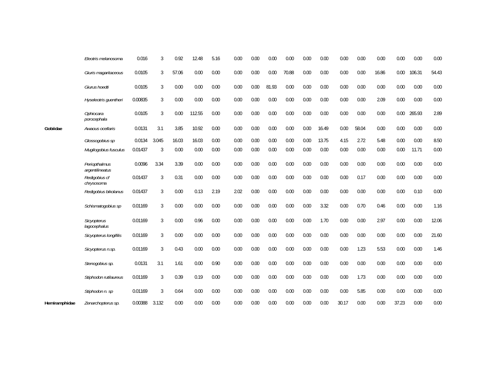|               | Eleotris melanosoma                | 0.016   | 3              | 0.92  | 12.48  | 5.16 | 0.00 | 0.00 | 0.00  | 0.00  | 0.00 | 0.00  | 0.00  | 0.00  | 0.00  | 0.00  | 0.00   | 0.00  |
|---------------|------------------------------------|---------|----------------|-------|--------|------|------|------|-------|-------|------|-------|-------|-------|-------|-------|--------|-------|
|               | Giuris magaritaceous               | 0.0105  | 3              | 57.06 | 0.00   | 0.00 | 0.00 | 0.00 | 0.00  | 70.88 | 0.00 | 0.00  | 0.00  | 0.00  | 16.86 | 0.00  | 106.31 | 54.43 |
|               | Giurus hoedti                      | 0.0105  | 3              | 0.00  | 0.00   | 0.00 | 0.00 | 0.00 | 81.93 | 0.00  | 0.00 | 0.00  | 0.00  | 0.00  | 0.00  | 0.00  | 0.00   | 0.00  |
|               | Hyseleotris quentheri              | 0.00835 | 3              | 0.00  | 0.00   | 0.00 | 0.00 | 0.00 | 0.00  | 0.00  | 0.00 | 0.00  | 0.00  | 0.00  | 2.09  | 0.00  | 0.00   | 0.00  |
|               | Ophiocara<br>porocephala           | 0.0105  | 3              | 0.00  | 112.55 | 0.00 | 0.00 | 0.00 | 0.00  | 0.00  | 0.00 | 0.00  | 0.00  | 0.00  | 0.00  | 0.00  | 265.93 | 2.89  |
| Gobiidae      | Awaous ocellaris                   | 0.0131  | 3.1            | 3.85  | 10.92  | 0.00 | 0.00 | 0.00 | 0.00  | 0.00  | 0.00 | 16.49 | 0.00  | 58.04 | 0.00  | 0.00  | 0.00   | 0.00  |
|               | Glossogobius sp                    | 0.0134  | 3.045          | 16.03 | 16.03  | 0.00 | 0.00 | 0.00 | 0.00  | 0.00  | 0.00 | 13.75 | 4.15  | 2.72  | 5.48  | 0.00  | 0.00   | 8.50  |
|               | Mugilogobius fusculus              | 0.01437 | 3              | 0.00  | 0.00   | 0.00 | 0.00 | 0.00 | 0.00  | 0.00  | 0.00 | 0.00  | 0.00  | 0.00  | 0.00  | 0.00  | 11.71  | 0.00  |
|               | Periopthalmus<br>argentilineatus   | 0.0096  | 3.34           | 3.39  | 0.00   | 0.00 | 0.00 | 0.00 | 0.00  | 0.00  | 0.00 | 0.00  | 0.00  | 0.00  | 0.00  | 0.00  | 0.00   | 0.00  |
|               | Redigobius cf<br>chrysosoma        | 0.01437 | 3              | 0.31  | 0.00   | 0.00 | 0.00 | 0.00 | 0.00  | 0.00  | 0.00 | 0.00  | 0.00  | 0.17  | 0.00  | 0.00  | 0.00   | 0.00  |
|               | Redigobius bikolanus               | 0.01437 | 3              | 0.00  | 0.13   | 2.19 | 2.02 | 0.00 | 0.00  | 0.00  | 0.00 | 0.00  | 0.00  | 0.00  | 0.00  | 0.00  | 0.10   | 0.00  |
|               | Schismatogobius sp                 | 0.01169 | 3              | 0.00  | 0.00   | 0.00 | 0.00 | 0.00 | 0.00  | 0.00  | 0.00 | 3.32  | 0.00  | 0.70  | 0.46  | 0.00  | 0.00   | 1.16  |
|               | <b>Sicyopterus</b><br>lagocephalus | 0.01169 | $\overline{3}$ | 0.00  | 0.96   | 0.00 | 0.00 | 0.00 | 0.00  | 0.00  | 0.00 | 1.70  | 0.00  | 0.00  | 2.97  | 0.00  | 0.00   | 12.06 |
|               | Sicyopterus longifilis             | 0.01169 | 3              | 0.00  | 0.00   | 0.00 | 0.00 | 0.00 | 0.00  | 0.00  | 0.00 | 0.00  | 0.00  | 0.00  | 0.00  | 0.00  | 0.00   | 21.60 |
|               | Sicyopterus n.sp.                  | 0.01169 | 3              | 0.43  | 0.00   | 0.00 | 0.00 | 0.00 | 0.00  | 0.00  | 0.00 | 0.00  | 0.00  | 1.23  | 5.53  | 0.00  | 0.00   | 1.46  |
|               | Stenogobius sp.                    | 0.0131  | 3.1            | 1.61  | 0.00   | 0.90 | 0.00 | 0.00 | 0.00  | 0.00  | 0.00 | 0.00  | 0.00  | 0.00  | 0.00  | 0.00  | 0.00   | 0.00  |
|               | Stiphodon rutilaureus              | 0.01169 | 3              | 0.39  | 0.19   | 0.00 | 0.00 | 0.00 | 0.00  | 0.00  | 0.00 | 0.00  | 0.00  | 1.73  | 0.00  | 0.00  | 0.00   | 0.00  |
|               | Stiphodon n. sp                    | 0.01169 | 3              | 0.64  | 0.00   | 0.00 | 0.00 | 0.00 | 0.00  | 0.00  | 0.00 | 0.00  | 0.00  | 5.85  | 0.00  | 0.00  | 0.00   | 0.00  |
| Hemiramphidae | Zenarchopterus sp.                 | 0.00388 | 3.132          | 0.00  | 0.00   | 0.00 | 0.00 | 0.00 | 0.00  | 0.00  | 0.00 | 0.00  | 30.17 | 0.00  | 0.00  | 37.23 | 0.00   | 0.00  |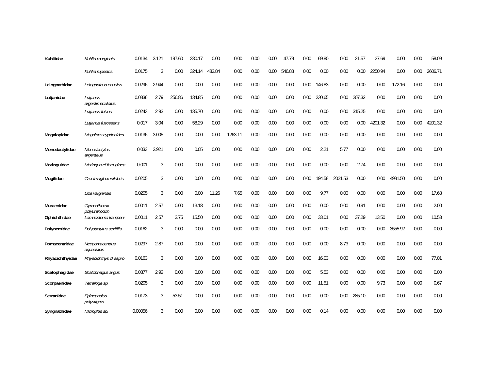| Kuhliidae       | Kuhlia marginata                   | 0.0134  | 3.121          | 197.60 | 230.17 | 0.00   | 0.00    | 0.00 | 0.00 | 47.79  | 0.00 | 69.80  | 0.00    | 21.57  | 27.69   | 0.00    | 0.00 | 58.09   |
|-----------------|------------------------------------|---------|----------------|--------|--------|--------|---------|------|------|--------|------|--------|---------|--------|---------|---------|------|---------|
|                 | Kuhlia rupestris                   | 0.0175  | 3              | 0.00   | 324.14 | 483.84 | 0.00    | 0.00 | 0.00 | 546.88 | 0.00 | 0.00   | 0.00    | 0.00   | 2250.94 | 0.00    | 0.00 | 2606.71 |
| Leiognathidae   | Leiognathus equulus                | 0.0296  | 2.944          | 0.00   | 0.00   | 0.00   | 0.00    | 0.00 | 0.00 | 0.00   | 0.00 | 146.83 | 0.00    | 0.00   | 0.00    | 172.16  | 0.00 | 0.00    |
| Lutjanidae      | Lutjanus<br>argentimaculatus       | 0.0336  | 2.79           | 256.86 | 134.85 | 0.00   | 0.00    | 0.00 | 0.00 | 0.00   | 0.00 | 230.65 | 0.00    | 207.32 | 0.00    | 0.00    | 0.00 | 0.00    |
|                 | Lutjanus fulvus                    | 0.0243  | 2.93           | 0.00   | 135.70 | 0.00   | 0.00    | 0.00 | 0.00 | 0.00   | 0.00 | 0.00   | 0.00    | 315.25 | 0.00    | 0.00    | 0.00 | 0.00    |
|                 | Lutjanus fuscesens                 | 0.017   | 3.04           | 0.00   | 58.29  | 0.00   | 0.00    | 0.00 | 0.00 | 0.00   | 0.00 | 0.00   | 0.00    | 0.00   | 4201.32 | 0.00    | 0.00 | 4201.32 |
| Megalopidae     | Megalops cyprinoides               | 0.0136  | 3.005          | 0.00   | 0.00   | 0.00   | 1263.11 | 0.00 | 0.00 | 0.00   | 0.00 | 0.00   | 0.00    | 0.00   | 0.00    | 0.00    | 0.00 | 0.00    |
| Monodactylidae  | Monodactylus<br>argenteus          | 0.033   | 2.921          | 0.00   | 0.05   | 0.00   | 0.00    | 0.00 | 0.00 | 0.00   | 0.00 | 2.21   | 5.77    | 0.00   | 0.00    | 0.00    | 0.00 | 0.00    |
| Moringuidae     | Moringua cf ferruginea             | 0.001   | $\overline{3}$ | 0.00   | 0.00   | 0.00   | 0.00    | 0.00 | 0.00 | 0.00   | 0.00 | 0.00   | 0.00    | 2.74   | 0.00    | 0.00    | 0.00 | 0.00    |
| Mugilidae       | Crenimugil crenilabris             | 0.0205  | $\overline{3}$ | 0.00   | 0.00   | 0.00   | 0.00    | 0.00 | 0.00 | 0.00   | 0.00 | 194.58 | 2021.53 | 0.00   | 0.00    | 4981.50 | 0.00 | 0.00    |
|                 | Liza vaigiensis                    | 0.0205  | $\mathfrak{Z}$ | 0.00   | 0.00   | 11.26  | 7.65    | 0.00 | 0.00 | 0.00   | 0.00 | 9.77   | 0.00    | 0.00   | 0.00    | 0.00    | 0.00 | 17.68   |
| Muraenidae      | Gymnothorax                        | 0.0011  | 2.57           | 0.00   | 13.18  | 0.00   | 0.00    | 0.00 | 0.00 | 0.00   | 0.00 | 0.00   | 0.00    | 0.91   | 0.00    | 0.00    | 0.00 | 2.00    |
| Ophichthidae    | polyuranodon<br>Lamnostoma kampeni | 0.0011  | 2.57           | 2.75   | 15.50  | 0.00   | 0.00    | 0.00 | 0.00 | 0.00   | 0.00 | 33.01  | 0.00    | 37.29  | 13.50   | 0.00    | 0.00 | 10.53   |
| Polynemidae     | Polydactylus sexifilis             | 0.0162  | 3              | 0.00   | 0.00   | 0.00   | 0.00    | 0.00 | 0.00 | 0.00   | 0.00 | 0.00   | 0.00    | 0.00   | 0.00    | 3555.92 | 0.00 | 0.00    |
| Pomacentridae   | Neopomacentrus<br>aquadulcis       | 0.0297  | 2.87           | 0.00   | 0.00   | 0.00   | 0.00    | 0.00 | 0.00 | 0.00   | 0.00 | 0.00   | 8.73    | 0.00   | 0.00    | 0.00    | 0.00 | 0.00    |
| Rhyacichthyidae | Rhyacichthys cf aspro              | 0.0163  | 3              | 0.00   | 0.00   | 0.00   | 0.00    | 0.00 | 0.00 | 0.00   | 0.00 | 16.03  | 0.00    | 0.00   | 0.00    | 0.00    | 0.00 | 77.01   |
| Scatophagidae   | Scatophagus argus                  | 0.0377  | 2.92           | 0.00   | 0.00   | 0.00   | 0.00    | 0.00 | 0.00 | 0.00   | 0.00 | 5.53   | 0.00    | 0.00   | 0.00    | 0.00    | 0.00 | 0.00    |
| Scorpaenidae    | Tetraroge sp.                      | 0.0205  | 3              | 0.00   | 0.00   | 0.00   | 0.00    | 0.00 | 0.00 | 0.00   | 0.00 | 11.51  | 0.00    | 0.00   | 9.73    | 0.00    | 0.00 | 0.67    |
| Serranidae      | Epinephalus<br>polystigma          | 0.0173  | 3              | 53.51  | 0.00   | 0.00   | 0.00    | 0.00 | 0.00 | 0.00   | 0.00 | 0.00   | 0.00    | 285.10 | 0.00    | 0.00    | 0.00 | 0.00    |
| Syngnathidae    | Microphis sp.                      | 0.00056 | 3              | 0.00   | 0.00   | 0.00   | 0.00    | 0.00 | 0.00 | 0.00   | 0.00 | 0.14   | 0.00    | 0.00   | 0.00    | 0.00    | 0.00 | 0.00    |